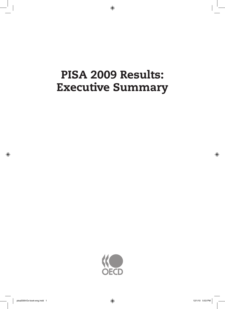# PISA 2009 Results: Executive Summary

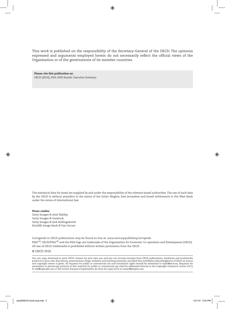This work is published on the responsibility of the Secretary-General of the OECD. The opinions expressed and arguments employed herein do not necessarily reflect the official views of the Organisation or of the governments of its member countries.

Please cite this publication as: OECD (2010), *PISA 2009 Results: Executive Summary*

The statistical data for Israel are supplied by and under the responsibility of the relevant Israeli authorities. The use of such data by the OECD is without prejudice to the status of the Golan Heights, East Jerusalem and Israeli settlements in the West Bank under the terms of international law.

#### Photo credits:

Getty Images © Ariel Skelley Getty Images © Geostock Getty Images © Jack Hollingsworth Stocklib Image Bank © Yuri Arcurs

Corrigenda to OECD publications may be found on line at: *www.oecd.org/publishing/corrigenda.* PISA<sup>TM</sup>, OECD/PISA<sup>TM</sup> and the PISA logo are trademaks of the Organisation for Economic Co-operation and Development (OECD). All use of OECD trademarks is prohibited without written permission from the OECD.

#### © OECD 2010

You can copy, download or print OECD content for your own use, and you can include excerpts from OECD publications, databases and multimedia products in your own documents, presentations, blogs, websites and teaching materials, provided that suiTabelle acknowledgment of OECD as source<br>and copyright owner is given. All requests for public or commercial use and t permission to photocopy portions of this material for public or commercial use shall be addressed directly to the Copyright Clearance Center (CCC)<br>at info@copyright.com or the Centre français d'exploitation du droit de cop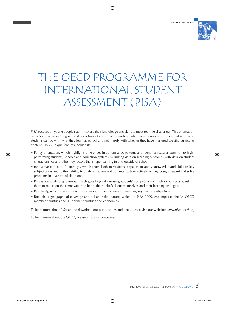

# THE OECD PROGRAMME FOR INTERNATIONAL STUDENT ASSESSMENT (PISA)

PISA focuses on young people's ability to use their knowledge and skills to meet real-life challenges. This orientation reflects a change in the goals and objectives of curricula themselves, which are increasingly concerned with what students can do with what they learn at school and not merely with whether they have mastered specific curricular content. PISA's unique features include its:

- • Policy orientation, which highlights differences in performance patterns and identifies features common to highperforming students, schools and education systems by linking data on learning outcomes with data on student characteristics and other key factors that shape learning in and outside of school.
- • Innovative concept of "literacy", which refers both to students' capacity to apply knowledge and skills in key subject areas and to their ability to analyse, reason and communicate effectively as they pose, interpret and solve problems in a variety of situations.
- Relevance to lifelong learning, which goes beyond assessing students' competencies in school subjects by asking them to report on their motivation to learn, their beliefs about themselves and their learning strategies.
- Regularity, which enables countries to monitor their progress in meeting key learning objectives.
- Breadth of geographical coverage and collaborative nature, which, in PISA 2009, encompasses the 34 OECD member countries and 41 partner countries and economies.

To learn more about PISA and to download our publications and data, please visit our website: *www.pisa.oecd.org*

To learn more about the OECD, please visit *www.oecd.org*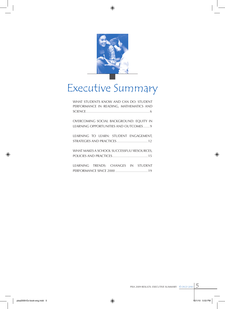

# Executive Summary

| WHAT STUDENTS KNOW AND CAN DO: STUDENT<br>PERFORMANCE IN READING, MATHEMATICS AND |
|-----------------------------------------------------------------------------------|
|                                                                                   |
| OVERCOMING SOCIAL BACKGROUND: EQUITY IN                                           |
| LEARNING OPPORTUNITIES AND OUTCOMES9                                              |
| LEARNING TO LEARN: STUDENT ENGAGEMENT,                                            |
|                                                                                   |
| WHAT MAKES A SCHOOL SUCCESSFUL? RESOURCES,                                        |
|                                                                                   |
| LEARNING TRENDS: CHANGES IN STUDENT                                               |
|                                                                                   |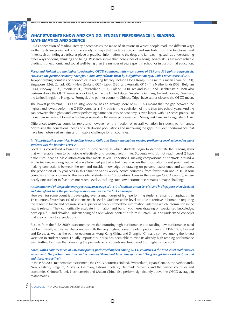

# What Students Know and Can Do: Student Performance in Reading, Mathematics and Science

PISA's conception of reading literacy encompasses the range of situations in which people read, the different ways written texts are presented, and the variety of ways that readers approach and use texts, from the functional and finite, such as finding a particular piece of practical information, to the deep and far-reaching, such as understanding other ways of doing, thinking and being. Research shows that these kinds of reading literacy skills are more reliable predictors of economic and social well-being than the number of years spent in school or in post-formal education.

#### *Korea and Finland are the highest performing OECD countries, with mean scores of 539 and 536 points, respectively. However, the partner economy Shanghai-China outperforms them by a significant margin, with a mean score of 556.*

Top-performing countries or economies in reading literacy include Hong Kong-China (with a mean score of 533), Singapore (526), Canada (524), New Zealand (521), Japan (520) and Australia (515). The Netherlands (508), Belgium (506), Norway (503), Estonia (501), Switzerland (501), Poland (500), Iceland (500) and Liechtenstein (499) also perform above the OECD mean score of 494, while the United States, Sweden, Germany, Ireland, France, Denmark, the United Kingdom, Hungary, Portugal, and partner economy Chinese Taipei have scores close to the OECD mean.

The lowest performing OECD country, Mexico, has an average score of 425. This means that the gap between the highest and lowest performing OECD countries is 114 points – the equivalent of more than two school years. And the gap between the highest and lowest performing partner country or economy is even larger, with 242 score points – or more than six years of formal schooling – separating the mean performance of Shanghai-China and Kyrgyzstan (314).

Differences *between* countries represent, however, only a fraction of overall variation in student performance. Addressing the educational needs of such diverse populations and narrowing the gaps in student performance that have been observed remains a formidable challenge for all countries.

#### *In 18 participating countries, including Mexico, Chile and Turkey, the highest reading proficiency level achieved by most students was the baseline Level 2.*

Level 2 is considered a baseline level of proficiency, at which students begin to demonstrate the reading skills that will enable them to participate effectively and productively in life. Students who do not reach Level 2 have difficulties locating basic information that meets several conditions, making comparisons or contrasts around a single feature, working out what a well-defined part of a text means when the information is not prominent, or making connections between the text and outside knowledge by drawing on personal experience and attitudes. The proportion of 15-year-olds in this situation varies widely across countries, from fewer than one in 10 in four countries and economies to the majority of students in 10 countries. Even in the average OECD country, where nearly one student in five does not reach Level 2, tackling such low performance remains a major challenge.

#### *At the other end of the proficiency spectrum, an average of 7.6% of students attain Level 5, and in Singapore, New Zealand and Shanghai-China the percentage is more than twice the OECD average.*

However, for some countries, developing even a small corps of high-performing students remains an aspiration: in 16 countries, fewer than 1% of students reach Level 5. Students at this level are able to retrieve information requiring the reader to locate and organise several pieces of deeply embedded information, inferring which information in the text is relevant. They can critically evaluate information and build hypotheses drawing on specialised knowledge, develop a full and detailed understanding of a text whose content or form is unfamiliar, and understand concepts that are contrary to expectations.

Results from the PISA 2009 assessment show that nurturing high performance and tackling low performance need not be mutually exclusive. The countries with the very highest overall reading performance in PISA 2009, Finland and Korea, as well as the partner economies Hong Kong-China and Shanghai-China, also have among the lowest variation in student scores. Equally importantly, Korea has been able to raise its already-high reading performance even further, by more than doubling the percentage of students reaching Level 5 or higher since 2000.

#### *Korea, with a country mean of 546 score points, performed highest among OECD countries in the PISA 2009 mathematics assessment. The partner countries and economies Shanghai-China, Singapore and Hong Kong-China rank first, second and third, respectively.*

In the PISA 2009 mathematics assessment, the OECD countries Finland, Switzerland, Japan, Canada, the Netherlands, New Zealand, Belgium, Australia, Germany, Estonia, Iceland, Denmark, Slovenia and the partner countries and economies Chinese Taipei, Liechtenstein and Macao-China also perform significantly above the OECD average in mathematics.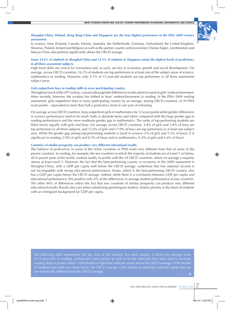

#### *Shanghai-China, Finland, Hong Kong-China and Singapore are the four highest performers in the PISA 2009 science assessment.*

In science, New Zealand, Canada, Estonia, Australia, the Netherlands, Germany, Switzerland, the United Kingdom, Slovenia, Poland, Ireland and Belgium as well as the partner country and economies Chinese Taipei, Liechtenstein and Macao-China also perform significantly above the OECD average.

#### *Some 14.6% of students in Shanghai-China and 12.3% of students in Singapore attain the highest levels of proficiency in all three assessment subjects.*

High-level skills are critical for innovation and, as such, are key to economic growth and social development. On average, across OECD countries, 16.3% of students are top performers in at least one of the subject areas of science, mathematics or reading. However, only 4.1% of 15-year-old students are top performers in all three assessment subject areas.

#### *Girls outperform boys in reading skills in every participating country.*

Throughout much of the 20<sup>th</sup> century, concern about gender differences in education focused on girls' underachievement. More recently, however, the scrutiny has shifted to boys' underachievement in reading. In the PISA 2009 reading assessment, girls outperform boys in every participating country by an average, among OECD countries, of 39 PISA score points – equivalent to more than half a proficiency level or one year of schooling.

On average across OECD countries, boys outperform girls in mathematics by 12 score points while gender differences in science performance tend to be small, both in absolute terms and when compared with the large gender gap in reading performance and the more moderate gender gap in mathematics. The ranks of top-performing students are filled nearly equally with girls and boys. On average across OECD countries, 4.4% of girls and 3.8% of boys are top performers in all three subjects, and 15.6% of girls and 17.0% of boys are top performers in at least one subject area. While the gender gap among top-performing students is small in science (1% of girls and 1.5% of boys), it is significant in reading (2.8% of girls and 0.5% of boys) and in mathematics (3.4% of girls and 6.6% of boys).

#### *Countries of similar prosperity can produce very different educational results.*

The balance of proficiency in some of the richer countries in PISA looks very different from that of some of the poorer countries. In reading, for example, the ten countries in which the majority of students are at Level 1 or below, all in poorer parts of the world, contrast starkly in profile with the 34 OECD countries, where on average a majority attains at least Level 3. However, the fact that the best-performing country or economy in the 2009 assessment is Shanghai-China, with a GDP per capita well below the OECD average, underlines that low national income is not incompatible with strong educational performance. Korea, which is the best-performing OECD country, also has a GDP per capita below the OECD average. Indeed, while there is a correlation between GDP per capita and educational performance, this predicts only 6% of the differences in average student performance across countries. The other 94% of differences reflect the fact that two countries of similar prosperity can produce very different educational results. Results also vary when substituting spending per student, relative poverty or the share of students with an immigrant background for GDP per capita.

The following table summarises the key data of this volume. For each country, it shows the average score of 15-year-olds in reading, mathematics and science as well as on the subscales that were used to measure reading skills in greater detail. Cells shaded in light blue indicate values above the OECD average. Cells shaded in medium blue indicate values below the OECD average. Cells shaded in dark blue indicate values that are not statistically different from the OECD average.

. . . . . . . . 2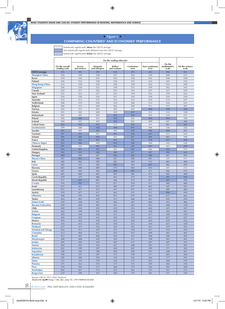

# • **Figure I.**• Comparing countries' and Economies' performance

Statistically significantly **above** the OECD average Not statistically significantly different from the OECD average Statistically significantly **below** the OECD average

|                                    | On the overall<br>reading scale | Access<br>and retrieve | Integrate<br>and interpret | <b>Reflect</b><br>and evaluate | <b>Continuous</b><br>texts | <b>Non-continuous</b><br>texts | On the<br>mathematics<br>scale | On the science<br>scale |
|------------------------------------|---------------------------------|------------------------|----------------------------|--------------------------------|----------------------------|--------------------------------|--------------------------------|-------------------------|
| <b>OECD</b> average                | 493                             | 495                    | 493                        | 494                            | 494                        | 493                            | 496                            | 501                     |
| Shanghai-China                     | 556                             | 549                    | 558                        | 557                            | 564                        | 539                            | 600                            | 575                     |
| Korea                              | 539                             | 542                    | 541                        | 542                            | 538                        | 542                            | 546                            | 538                     |
| Finland                            | 536                             | 532                    | 538                        | 536<br>540                     | 535                        | 535<br>522                     | 541                            | 554<br>549              |
| <b>Hong Kong-China</b>             | 533<br>526                      | 530<br>526             | 530<br>525                 | 529                            | 538<br>522                 | 539                            | 555<br>562                     | 542                     |
| <b>Singapore</b><br>Canada         | 524                             | 517                    | 522                        | 535                            | 524                        | 527                            | 527                            | 529                     |
| New Zealand                        | 521                             | 521                    | 517                        | 531                            | 518                        | 532                            | 519                            | 532                     |
| Japan                              | 520                             | 530                    | 520                        | 521                            | 520                        | 518                            | 529                            | 539                     |
| <b>Australia</b>                   | 515                             | 513                    | 513                        | 523                            | 513                        | 524                            | 514                            | 527                     |
| <b>Netherlands</b>                 | 508                             | 519                    | 504                        | 510                            | 506                        | 514                            | 526                            | 522                     |
| <b>Belgium</b>                     | 506                             | 513                    | 504                        | 505                            | 504                        | 511                            | 515                            | 507                     |
| Norway                             | 503                             | 512                    | 502                        | 505                            | 505                        | 498                            | 498                            | 500                     |
| Estonia                            | 501                             | 503                    | 500                        | 503                            | 497                        | 512                            | 512                            | 528                     |
| Switzerland                        | 501                             | 505                    | 502                        | 497                            | 498                        | 505                            | 534                            | 517                     |
| Poland                             | 500                             | 500                    | 503                        | 498                            | 502                        | 496                            | 495                            | 508                     |
| Iceland                            | 500                             | 507                    | 503                        | 496                            | 501                        | 499                            | 507                            | 496                     |
| <b>United States</b>               | 500                             | 492                    | 495                        | 512                            | 500                        | 503                            | 487                            | 502                     |
| <b>Liechtenstein</b><br>Sweden     | 499<br>497                      | 508<br>505             | 498<br>494                 | 498<br>502                     | 495<br>499                 | 506<br>498                     | 536<br>494                     | 520<br>495              |
| Germany                            | 497                             | 501                    | 501                        | 491                            | 496                        | 497                            | 513                            | 520                     |
| Ireland                            | 496                             | 498                    | 494                        | 502                            | 497                        | 496                            | 487                            | 508                     |
| France                             | 496                             | 492                    | 497                        | 495                            | 492                        | 498                            | 497                            | 498                     |
| <b>Chinese Taipei</b>              | 495                             | 496                    | 499                        | 493                            | 496                        | 500                            | 543                            | 520                     |
| Denmark                            | 495                             | 502                    | 492                        | 493                            | 496                        | 493                            | 503                            | 499                     |
| <b>United Kingdom</b>              | 494                             | 491                    | 491                        | 503                            | 492                        | 506                            | 492                            | 514                     |
| Hungary                            | 494                             | 501                    | 496                        | 489                            | 497                        | 487                            | 490                            | 503                     |
| Portugal                           | 489                             | 488                    | 487                        | 496                            | 492                        | 488                            | 487                            | 493                     |
| Macao-China                        | 487                             | 493                    | 488                        | 481                            | 488                        | 481                            | 525                            | 511                     |
| <b>Italy</b>                       | 486                             | 482                    | 490                        | 482                            | 489                        | 476                            | 483                            | 489                     |
| Latvia                             | 484                             | 476                    | 484                        | 492                            | 484                        | 487                            | 482                            | 494                     |
| Slovenia                           | 483                             | 489                    | 489<br>484                 | 470<br>489                     | 484<br>487                 | 476<br>472                     | 501                            | 512<br>470              |
| Greece<br>Spain                    | 483<br>481                      | 468<br>480             | 481                        | 483                            | 484                        | 473                            | 466<br>483                     | 488                     |
| <b>Czech Republic</b>              | 478                             | 479                    | 488                        | 462                            | 479                        | 474                            | 493                            | 500                     |
| <b>Slovak Republic</b>             | 477                             | 491                    | 481                        | 466                            | 479                        | 471                            | 497                            | 490                     |
| <b>Croatia</b>                     | 476                             | 492                    | 472                        | 471                            | 478                        | 472                            | 460                            | 486                     |
| Israel                             | 474                             | 463                    | 473                        | 483                            | 477                        | 467                            | 447                            | 455                     |
| Luxembourg                         | 472                             | 471                    | 475                        | 471                            | 471                        | 472                            | 489                            | 484                     |
| Austria                            | 470                             | 477                    | 471                        | 463                            | 470                        | 472                            | 496                            | 494                     |
| <b>Lithuania</b>                   | 468                             | 476                    | 469                        | 463                            | 470                        | 462                            | 477                            | 491                     |
| <b>Turkey</b>                      | 464                             | 467                    | 459                        | 473                            | 466                        | 461                            | 445                            | 454                     |
| Dubai (UAE)                        | 459                             | 458                    | 457                        | 466                            | 461                        | 460                            | 453                            | 466                     |
| <b>Russian Federation</b>          | 459                             | 469                    | 467                        | 441                            | 461                        | 452                            | 468                            | 478                     |
| Chile<br><b>Serbia</b>             | 449<br>442                      | 444<br>449             | 452<br>445                 | 452<br>430                     | 453<br>444                 | 444<br>438                     | 421<br>442                     | 447<br>443              |
| <b>Bulgaria</b>                    | 429                             | 430                    | 436                        | 417                            | 433                        | 421                            | 428                            | 439                     |
| <b>Uruguay</b>                     | 426                             | 424                    | 423                        | 436                            | 429                        | 421                            | 427                            | 427                     |
| Mexico                             | 425                             | 433                    | 418                        | 432                            | 426                        | 424                            | 419                            | 416                     |
| Romania                            | 424                             | 423                    | 425                        | 426                            | 423                        | 424                            | 427                            | 428                     |
| <b>Thailand</b>                    | 421                             | 431                    | 416                        | 420                            | 423                        | 423                            | 419                            | 425                     |
| <b>Trinidad and Tobago</b>         | 416                             | 413                    | 419                        | 413                            | 418                        | 417                            | 414                            | 410                     |
| Colombia                           | 413                             | 404                    | 411                        | 422                            | 415                        | 409                            | 381                            | 402                     |
| <b>Brazil</b>                      | 412                             | 407                    | 406                        | 424                            | 414                        | 408                            | 386                            | 405                     |
| <b>Montenegro</b>                  | 408                             | 408                    | 420                        | 383                            | 411                        | 398                            | 403                            | 401                     |
| Jordan                             | 405                             | 394                    | 410                        | 407                            | 417                        | 387                            | 387                            | 415                     |
| <b>Tunisia</b><br><b>Indonesia</b> | 404                             | 393                    | 393                        | 427                            | 408                        | 393                            | 371                            | 401                     |
| <b>Argentina</b>                   | 402<br>398                      | 399<br>394             | 397<br>398                 | 409<br>402                     | 405<br>400                 | 399<br>391                     | 371<br>388                     | 383<br>401              |
| <b>Kazakhstan</b>                  | 390                             | 397                    | 397                        | 373                            | 399                        | 371                            | 405                            | 400                     |
| <b>Albania</b>                     | 385                             | 380                    | 393                        | 376                            | 392                        | 366                            | 377                            | 391                     |
| Qatar                              | 372                             | 354                    | 379                        | 376                            | 375                        | 361                            | 368                            | 379                     |
| Panama                             | 371                             | 363                    | 372                        | 377                            | 373                        | 359                            | 360                            | 376                     |
| Peru                               | 370                             | 364                    | 371                        | 368                            | 374                        | 356                            | 365                            | 369                     |
| <b>Azerbaijan</b>                  | 362                             | 361                    | 373                        | 335                            | 362                        | 351                            | 431                            | 373                     |
| <b>Kyrgyzstan</b>                  | 314                             | 299                    | 327                        | 300                            | 319                        | 293                            | 331                            | 330                     |

Source: O 12 ECD, *PISA 2009 Database*. http://dx.doi.org/10.1787/888932343342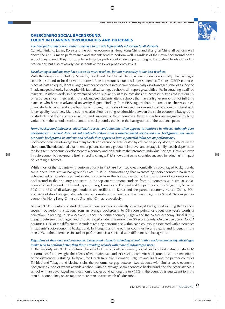### Overcoming Social Background: Equity in Learning Opportunities and Outcomes

#### *The best performing school systems manage to provide high-quality education to all students.*

Canada, Finland, Japan, Korea and the partner economies Hong Kong-China and Shanghai-China all perform well above the OECD mean performance and students tend to perform well regardless of their own background or the school they attend. They not only have large proportions of students performing at the highest levels of reading proficiency, but also relatively few students at the lower proficiency levels.

#### *Disadvantaged students may have access to more teachers, but not necessarily to the best teachers.*

With the exception of Turkey, Slovenia, Israel and the United States, where socio-economically disadvantaged schools also tend to be deprived in terms of basic resources, such as larger student-staff ratios, OECD countries place at least an equal, if not a larger, number of teachers into socio-economically disadvantaged schools as they do in advantaged schools. But despite this fact, disadvantaged schools still report great difficulties in attracting qualified teachers. In other words, in disadvantaged schools, quantity of resources does not necessarily translate into quality of resources since, in general, more advantaged students attend schools that have a higher proportion of full-time teachers who have an advanced university degree. Findings from PISA suggest that, in terms of teacher resources, many students face the double liability of coming from a disadvantaged background and attending a school with lower quality resources. Many countries also show a strong relationship between the socio-economic background of students and their success at school and, in some of these countries, these disparities are magnified by large variations in the schools' socio-economic backgrounds, that is, in the backgrounds of the students' peers.

### *Home background influences educational success, and schooling often appears to reinforce its effects. Although poor performance in school does not automatically follow from a disadvantaged socio-economic background, the socioeconomic background of students and schools does appear to have a powerful influence on performance.*

Socio-economic disadvantage has many facets and cannot be ameliorated by education policy alone, much less in the short term. The educational attainment of parents can only gradually improve, and average family wealth depends on the long-term economic development of a country and on a culture that promotes individual savings. However, even if socio-economic background itself is hard to change, PISA shows that some countries succeed in reducing its impact on learning outcomes.

While most of the students who perform poorly in PISA are from socio-economically disadvantaged backgrounds, some peers from similar backgrounds excel in PISA, demonstrating that overcoming socio-economic barriers to achievement is possible. Resilient students come from the bottom quarter of the distribution of socio-economic background in their country and score in the top quarter among students from all countries with similar socioeconomic background. In Finland, Japan, Turkey, Canada and Portugal and the partner country Singapore, between 39% and 48% of disadvantaged students are resilient. In Korea and the partner economy Macao-China, 50% and 56% of disadvantaged students can be considered resilient, and this percentage is 72% and 76% in partner economies Hong Kong-China and Shanghai-China, respectively.

Across OECD countries, a student from a more socio-economically advantaged background (among the top one seventh) outperforms a student from an average background by 38 score points, or about one year's worth of education, in reading. In New Zealand, France, the partner country Bulgaria and the partner economy Dubai (UAE), the gap between advantaged and disadvantaged students is more than 50 score points. On average across OECD countries, 14% of the differences in student reading performance within each country is associated with differences in students' socio-economic background. In Hungary and the partner countries Peru, Bulgaria and Uruguay, more than 20% of the differences in student performance is associated with differences in background.

#### *Regardless of their own socio-economic background, students attending schools with a socio-economically advantaged intake tend to perform better than those attending schools with more disadvantaged peers.*

In the majority of OECD countries, the effect of the school's economic, social and cultural status on students' performance far outweighs the effects of the individual student's socio-economic background. And the magnitude of the differences is striking. In Japan, the Czech Republic, Germany, Belgium and Israel and the partner countries Trinidad and Tobago and Liechtenstein, the performance gap between two students with similar socio-economic backgrounds, one of whom attends a school with an average socio-economic background and the other attends a school with an advantaged socio-economic background (among the top 16% in the country), is equivalent to more than 50 score points, on average, or more than a year's worth of education.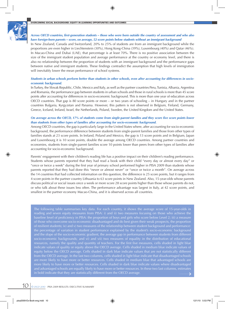

#### *Across OECD countries, first-generation students – those who were born outside the country of assessment and who also have foreign-born parents – score, on average, 52 score points below students without an immigrant background*

In New Zealand, Canada and Switzerland, 20% to 25% of students are from an immigrant background while the proportions are even higher in Liechtenstein (30%), Hong Kong-China (39%), Luxembourg (40%) and Qatar (46%). In Macao-China and Dubai (UAE), that percentage is at least 70%. There is no positive association between the size of the immigrant student population and average performance at the country or economy level, and there is also no relationship between the proportion of students with an immigrant background and the performance gaps between native and immigrant students. These findings contradict the assumption that high levels of immigration will inevitably lower the mean performance of school systems.

#### *Students in urban schools perform better than students in other schools, even after accounting for differences in socioeconomic background.*

In Turkey, the Slovak Republic, Chile, Mexico and Italy, as well as the partner countries Peru, Tunisia, Albania, Argentina and Romania, the performance gap between students in urban schools and those in rural schools is more than 45 score points after accounting for differences in socio-economic background. This is more than one year of education across OECD countries. That gap is 80 score points or more – or two years of schooling – in Hungary and in the partner countries Bulgaria, Kyrgyzstan and Panama. However, this pattern is not observed in Belgium, Finland, Germany, Greece, Iceland, Ireland, Israel, the Netherlands, Poland, Sweden, the United Kingdom and the United States.

#### *On average across the OECD, 17% of students come from single-parent families and they score five score points lower than students from other types of families after accounting for socio-economic background.*

Among OECD countries, the gap is particularly large in the United States where, after accounting for socio-economic background, the performance difference between students from single-parent families and those from other types of families stands at 23 score points. In Ireland, Poland and Mexico, the gap is 13 score points and in Belgium, Japan and Luxembourg it is 10 score points, double the average among OECD countries. Among partner countries and economies, students from single-parent families score 10 points lower than peers from other types of families after accounting for socio-economic background.

Parents' engagement with their children's reading life has a positive impact on their children's reading performance. Students whose parents reported that they had read a book with their child "every day or almost every day" or "once or twice a week" during the first year of primary school performed higher in PISA 2009 than students whose parents reported that they had done this "never or almost never" or "once or twice a month". On average across the 14 countries that had collected information on this question, the difference is 25 score points, but it ranges from 4 score points in the partner country Lithuania to 63 score points in New Zealand. Also, 15-year-olds whose parents discuss political or social issues once a week or more score 28 score points higher than those whose parents do not, or who talk about these issues less often. The performance advantage was largest in Italy, at 42 score points, and smallest in the partner economy Macao-China, and it is observed across all countries.

The following table summarises key data. For each country, it shows the average score of 15-year-olds in reading and seven equity measures from PISA: i) and ii) two measures focusing on those who achieve the baseline level of proficiency in PISA: the proportion of boys and girls who score below Level 2; iii) a measure of those who overcome socio-economic disadvantaged and do best given their weak prospects, the proportion of resilient students; iv) and v) two measures of the relationship between student background and performance: the percentage of variation in student performance explained by the student's socio-economic background and the slope of the socio-economic gradient, the average gap in performance between students from different socio-economic backgrounds; and vi) and vii) two measures of equality in the distribution of educational resources, namely the quality and quantity of teachers. For the first five measures, cells shaded in light blue indicate values of quality or equity above the OECD average. Cells shaded in medium blue indicate values of equity below the OECD average. Cells shaded in dark blue indicate values that are not statistically different from the OECD average. In the last two columns, cells shaded in light blue indicate that disadvantaged schools are more likely to have more or better resources. Cells shaded in medium blue that advantaged schools are more likely to have more or better resources. Cells shaded in dark blue indicate values where disadvantaged and advantaged schools are equally likely to have more or better resources. In these two last columns, estimates in bold indicate that they are statistically different from the OECD average.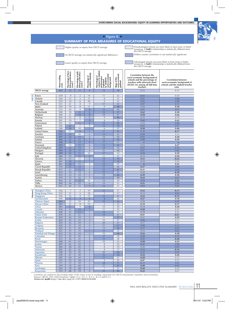

| $=$ Figure II. $=$                                   |                                                       |                                                    |                                                     |                                     |                                                                                                                       |                                            |                                                                                                                                                                                 |                                                                                                                                           |  |  |  |  |  |
|------------------------------------------------------|-------------------------------------------------------|----------------------------------------------------|-----------------------------------------------------|-------------------------------------|-----------------------------------------------------------------------------------------------------------------------|--------------------------------------------|---------------------------------------------------------------------------------------------------------------------------------------------------------------------------------|-------------------------------------------------------------------------------------------------------------------------------------------|--|--|--|--|--|
|                                                      | <b>SUMMARY OF PISA MEASURES OF EDUCATIONAL EQUITY</b> |                                                    |                                                     |                                     |                                                                                                                       |                                            |                                                                                                                                                                                 |                                                                                                                                           |  |  |  |  |  |
|                                                      |                                                       |                                                    |                                                     |                                     | Higher quality or equity than OECD average                                                                            |                                            | the OECD average                                                                                                                                                                | Disadvantaged schools are more likely to have more or better<br>resources, in <b>bold</b> if relationship is statistically different from |  |  |  |  |  |
|                                                      |                                                       |                                                    |                                                     |                                     | At OECD average (no statistically significant difference)                                                             |                                            | Within country correlation is not statistically significant                                                                                                                     |                                                                                                                                           |  |  |  |  |  |
|                                                      |                                                       |                                                    |                                                     |                                     | Lower quality or equity than OECD average                                                                             | the OECD average                           | Advantaged schools are more likely to have more or better<br>resources, in <b>bold</b> if relationship is statistically different from                                          |                                                                                                                                           |  |  |  |  |  |
|                                                      | Mean reading<br>score                                 | Percentage of boys<br>below proficiency<br>Level 2 | Percentage of girls<br>below proficiency<br>Level 2 | Percentage of<br>resilient students | Percentage of<br>variance in student<br>performance<br>by students'<br>socio-economic<br>socio-economic<br>hackground | Slope of the<br>socio-economic<br>gradient | <b>Correlation between the</b><br>socio-economic background of<br>schools and the percentage of<br>teachers with university-level<br>(ISCED 5A) among all full-time<br>teachers | <b>Correlation between</b><br>socio-economic background of<br>schools and the student/teacher<br>ratio                                    |  |  |  |  |  |
| <b>OECD</b> average                                  | 493                                                   | 25                                                 | 13                                                  | $\, 8$                              | 14                                                                                                                    | 38                                         | 0.15                                                                                                                                                                            | $-0.15$                                                                                                                                   |  |  |  |  |  |
| Korea                                                | 539                                                   | 9                                                  | 2                                                   | 14                                  | 11                                                                                                                    | 32                                         | $-0.03$                                                                                                                                                                         | 0.30                                                                                                                                      |  |  |  |  |  |
| OECD<br>Finland                                      | 536                                                   | 13                                                 | 3                                                   | 11                                  | 8                                                                                                                     | 31                                         | $-0.01$                                                                                                                                                                         | 0.08                                                                                                                                      |  |  |  |  |  |
| Canada<br>New Zealand                                | 524<br>521                                            | 14<br>21                                           | 6<br>8                                              | 10<br>9                             | 9<br>17                                                                                                               | 32<br>52                                   | 0.03<br>0.07                                                                                                                                                                    | 0.09<br>0.11                                                                                                                              |  |  |  |  |  |
| Japan                                                | 520                                                   | 19                                                 | 8                                                   | 11                                  | 9                                                                                                                     | 40                                         | 0.20                                                                                                                                                                            | 0.38                                                                                                                                      |  |  |  |  |  |
| Australia                                            | 515                                                   | 20                                                 | 9                                                   | $\,$ 8 $\,$                         | 13                                                                                                                    | 46                                         | 0.02                                                                                                                                                                            | $-0.07$                                                                                                                                   |  |  |  |  |  |
| Netherlands                                          | 508                                                   | 18                                                 | 11                                                  | $\, 8$                              | 13                                                                                                                    | 37                                         | 0.62                                                                                                                                                                            | 0.38                                                                                                                                      |  |  |  |  |  |
| Belgium<br>Norway                                    | 506<br>503                                            | 21<br>21                                           | 14<br>8                                             | $\, 8$<br>6                         | 19<br>9                                                                                                               | 47<br>36                                   | 0.58<br>0.15                                                                                                                                                                    | 0.66<br>0.19                                                                                                                              |  |  |  |  |  |
| Estonia                                              | 501                                                   | 19                                                 | $\overline{7}$                                      | 9                                   | 8                                                                                                                     | 29                                         | 0.00                                                                                                                                                                            | 0.43                                                                                                                                      |  |  |  |  |  |
| Switzerland                                          | 501                                                   | 22                                                 | 11                                                  | $\, 8$                              | 14                                                                                                                    | 40                                         | 0.24                                                                                                                                                                            | 0.06                                                                                                                                      |  |  |  |  |  |
| Poland                                               | 500                                                   | 23                                                 | $\overline{7}$                                      | 9                                   | 15                                                                                                                    | 39                                         | $-0.05$                                                                                                                                                                         | 0.01                                                                                                                                      |  |  |  |  |  |
| Iceland                                              | 500                                                   | 24                                                 | 10                                                  | $\overline{7}$                      | 6                                                                                                                     | 27                                         | 0.30                                                                                                                                                                            | 0.40                                                                                                                                      |  |  |  |  |  |
| <b>United States</b>                                 | 500                                                   | 21                                                 | 14                                                  | $\overline{7}$                      | 17                                                                                                                    | 42                                         | 0.10                                                                                                                                                                            | $-0.17$                                                                                                                                   |  |  |  |  |  |
| Sweden<br>Germany                                    | 497<br>497                                            | 24<br>24                                           | 10<br>13                                            | 6<br>6                              | 13<br>18                                                                                                              | 43<br>44                                   | $-0.04$<br>$-0.02$                                                                                                                                                              | 0.12<br>0.28                                                                                                                              |  |  |  |  |  |
| Ireland                                              | 496                                                   | 23                                                 | 11                                                  | $\overline{7}$                      | 13                                                                                                                    | 39                                         | $-0.08$                                                                                                                                                                         | 0.49                                                                                                                                      |  |  |  |  |  |
| France                                               | 496                                                   | 26                                                 | 14                                                  | 8                                   | 17                                                                                                                    | 51                                         | W                                                                                                                                                                               | w                                                                                                                                         |  |  |  |  |  |
| Denmark                                              | 495                                                   | 19                                                 | 11                                                  | $6\,$                               | 15                                                                                                                    | 36                                         | 0.16                                                                                                                                                                            | 0.27                                                                                                                                      |  |  |  |  |  |
| <b>United Kingdom</b>                                | 494                                                   | 23                                                 | 14                                                  | $6\,$                               | 14                                                                                                                    | 44                                         | $-0.03$                                                                                                                                                                         | $-0.10$                                                                                                                                   |  |  |  |  |  |
| Hungary<br>Portugal                                  | 494<br>489                                            | 24<br>25                                           | 11<br>11                                            | 6<br>10                             | 26<br>17                                                                                                              | 48<br>30                                   | 0.07<br>0.04                                                                                                                                                                    | 0.02<br>0.39                                                                                                                              |  |  |  |  |  |
| Italy                                                | 486                                                   | 29                                                 | 13                                                  | $\, 8$                              | 12                                                                                                                    | 32                                         | 0.13                                                                                                                                                                            | 0.50                                                                                                                                      |  |  |  |  |  |
| Slovenia                                             | 483                                                   | 31                                                 | 11                                                  | $\boldsymbol{6}$                    | 14                                                                                                                    | 39                                         | 0.55                                                                                                                                                                            | $-0.25$                                                                                                                                   |  |  |  |  |  |
| Greece                                               | 483                                                   | 30                                                 | 13                                                  | 7                                   | 12                                                                                                                    | 34                                         | 0.24                                                                                                                                                                            | 0.25                                                                                                                                      |  |  |  |  |  |
| Spain<br><b>Czech Republic</b>                       | 481<br>478                                            | 24<br>31                                           | 15<br>14                                            | 9<br>5                              | 14<br>12                                                                                                              | 29<br>46                                   | m<br>0.37                                                                                                                                                                       | 0.45<br>0.08                                                                                                                              |  |  |  |  |  |
| <b>Slovak Republic</b>                               | 477                                                   | 32                                                 | 13                                                  | 5                                   | 15                                                                                                                    | 41                                         | $-0.21$                                                                                                                                                                         | 0.00                                                                                                                                      |  |  |  |  |  |
| Israel                                               | 474                                                   | 34                                                 | 19                                                  | 6                                   | 13                                                                                                                    | 43                                         | 0.20                                                                                                                                                                            | $-0.20$                                                                                                                                   |  |  |  |  |  |
| Luxembourg                                           | 472                                                   | 33                                                 | 19                                                  | 5                                   | 18                                                                                                                    | 40                                         | 0.39                                                                                                                                                                            | 0.28                                                                                                                                      |  |  |  |  |  |
| Austria                                              | 470                                                   | 35                                                 | 20                                                  | 5                                   | 17                                                                                                                    | 48                                         | 0.64                                                                                                                                                                            | $-0.07$                                                                                                                                   |  |  |  |  |  |
| Turkey<br>Chile                                      | 464<br>449                                            | 33<br>36                                           | 15<br>25                                            | 10<br>6                             | 19<br>19                                                                                                              | 29<br>31                                   | 0.04<br>0.25                                                                                                                                                                    | $-0.26$<br>$-0.05$                                                                                                                        |  |  |  |  |  |
| Mexico                                               | 425                                                   | 46                                                 | 34                                                  | $\overline{7}$                      | 14                                                                                                                    | 25                                         | $-0.04$                                                                                                                                                                         | 0.03                                                                                                                                      |  |  |  |  |  |
|                                                      |                                                       |                                                    |                                                     |                                     |                                                                                                                       |                                            |                                                                                                                                                                                 |                                                                                                                                           |  |  |  |  |  |
| Shanghai-China<br>Partners<br><b>Hong Kong-China</b> | 556<br>533                                            | $\overline{7}$<br>11                               | $\overline{2}$<br>5                                 | 19<br>18                            | 12<br>5                                                                                                               | 27<br>17                                   | 0.32<br>0.12                                                                                                                                                                    | $-0.13$<br>0.02                                                                                                                           |  |  |  |  |  |
| <b>Singapore</b>                                     | 526                                                   | 16                                                 | 9                                                   | 12                                  | 15                                                                                                                    | 47                                         | 0.22                                                                                                                                                                            | $-0.14$                                                                                                                                   |  |  |  |  |  |
| Liechtenstein                                        | 499                                                   | 21                                                 | 9                                                   | 9                                   | 8                                                                                                                     | 26                                         | 0.57                                                                                                                                                                            | 0.70                                                                                                                                      |  |  |  |  |  |
| <b>Chinese Taipei</b>                                | 495                                                   | 22                                                 | 10                                                  | 10                                  | 12                                                                                                                    | 36                                         | 0.29                                                                                                                                                                            | $-0.07$                                                                                                                                   |  |  |  |  |  |
| Macao-China<br>Latvia                                | 487<br>484                                            | 21<br>27                                           | 9<br>9                                              | 13<br>$\,$ 8 $\,$                   | $\sqrt{2}$<br>10                                                                                                      | 12<br>29                                   | $-0.18$<br>0.19                                                                                                                                                                 | 0.17<br>0.38                                                                                                                              |  |  |  |  |  |
| Croatia                                              | 476                                                   | 31                                                 | 13                                                  | $\overline{7}$                      | 11                                                                                                                    | 32                                         | 0.28                                                                                                                                                                            | 0.32                                                                                                                                      |  |  |  |  |  |
| Lithuania                                            | 468                                                   | 35                                                 | 13                                                  | $\sqrt{5}$                          | 14                                                                                                                    | 33                                         | 0.19                                                                                                                                                                            | 0.21                                                                                                                                      |  |  |  |  |  |
| Dubai (UAE)                                          | 459                                                   | 41                                                 | 21                                                  | $\sqrt{3}$                          | 14                                                                                                                    | 51                                         | $-0.01$                                                                                                                                                                         | $-0.27$                                                                                                                                   |  |  |  |  |  |
| <b>Russian Federation</b><br><b>Serbia</b>           | 459<br>442                                            | 36<br>43                                           | 19<br>23                                            | $\sqrt{5}$<br>$\sqrt{4}$            | 11<br>10                                                                                                              | 37<br>27                                   | 0.31<br>0.06                                                                                                                                                                    | 0.29<br>0.11                                                                                                                              |  |  |  |  |  |
| <b>Bulgaria</b>                                      | 429                                                   | 52                                                 | 29                                                  | $\overline{2}$                      | 20                                                                                                                    | 51                                         | 0.17                                                                                                                                                                            | 0.21                                                                                                                                      |  |  |  |  |  |
| Uruguay                                              | 426                                                   | 51                                                 | 34                                                  | $\sqrt{4}$                          | 21                                                                                                                    | 37                                         | 0.08                                                                                                                                                                            | 0.13                                                                                                                                      |  |  |  |  |  |
| Romania                                              | 424                                                   | 51                                                 | 30                                                  | $\overline{2}$                      | 14                                                                                                                    | 36                                         | 0.11                                                                                                                                                                            | $-0.02$                                                                                                                                   |  |  |  |  |  |
| <b>Thailand</b><br><b>Trinidad and Tobago</b>        | 421<br>416                                            | 55<br>55                                           | 33<br>34                                            | $\overline{7}$<br>$\sqrt{5}$        | 13<br>10                                                                                                              | 22<br>38                                   | 0.16<br>0.56                                                                                                                                                                    | $-0.02$<br>0.38                                                                                                                           |  |  |  |  |  |
| Colombia                                             | 413                                                   | 50                                                 | 45                                                  | $\,$ 6 $\,$                         | 17                                                                                                                    | 28                                         | $-0.08$                                                                                                                                                                         | $-0.14$                                                                                                                                   |  |  |  |  |  |
| <b>Brazil</b>                                        | 412                                                   | 56                                                 | 43                                                  | $\,$ 6 $\,$                         | 13                                                                                                                    | 28                                         | 0.03                                                                                                                                                                            | $-0.20$                                                                                                                                   |  |  |  |  |  |
| Montenegro                                           | 408                                                   | 61                                                 | 37                                                  | $\sqrt{2}$                          | 10                                                                                                                    | 31                                         | 0.38                                                                                                                                                                            | 0.33                                                                                                                                      |  |  |  |  |  |
| <b>lordan</b>                                        | 405                                                   | 62                                                 | 34                                                  | $\sqrt{3}$                          | $\, 8$                                                                                                                | 24                                         | $-0.02$                                                                                                                                                                         | 0.06                                                                                                                                      |  |  |  |  |  |
| <b>Tunisia</b><br><b>Indonesia</b>                   | 404<br>402                                            | 58<br>65                                           | 43<br>42                                            | $\overline{7}$<br>$\sqrt{6}$        | $\,$ 8 $\,$<br>8                                                                                                      | 19<br>17                                   | 0.20<br>0.16                                                                                                                                                                    | $-0.02$<br>$-0.16$                                                                                                                        |  |  |  |  |  |
| <b>Argentina</b>                                     | 398                                                   | 59                                                 | 45                                                  | $\ensuremath{\mathsf{3}}$           | 20                                                                                                                    | 40                                         | 0.22                                                                                                                                                                            | $-0.02$                                                                                                                                   |  |  |  |  |  |
| <b>Kazakhstan</b>                                    | 390                                                   | 67                                                 | 50                                                  | $\overline{1}$                      | 12                                                                                                                    | 38                                         | 0.34                                                                                                                                                                            | 0.44                                                                                                                                      |  |  |  |  |  |
| <b>Albania</b>                                       | 385                                                   | 69                                                 | 44                                                  | $\sqrt{3}$                          | 11                                                                                                                    | 31                                         | 0.38                                                                                                                                                                            | 0.15                                                                                                                                      |  |  |  |  |  |
| Qatar                                                | 372                                                   | 72                                                 | 54<br>59                                            | $\overline{1}$<br>$\overline{2}$    | $\overline{4}$<br>18                                                                                                  | 25                                         | $-0.07$<br>$-0.13$                                                                                                                                                              | 0.11<br>0.03                                                                                                                              |  |  |  |  |  |
| Panama<br>Peru                                       | 371<br>370                                            | 72<br>70                                           | 60                                                  | $\mathbf{1}$                        | 27                                                                                                                    | 31<br>41                                   | 0.48                                                                                                                                                                            | $-0.02$                                                                                                                                   |  |  |  |  |  |
| <b>Azerbaijan</b>                                    | 362                                                   | 78                                                 | 68                                                  | $\overline{1}$                      | $\overline{7}$                                                                                                        | 21                                         | 0.44                                                                                                                                                                            | 0.23                                                                                                                                      |  |  |  |  |  |
| Kyrgyzstan                                           | 314                                                   | 88                                                 | 78                                                  | $\boldsymbol{0}$                    | 15                                                                                                                    | 40                                         | 0.35                                                                                                                                                                            | 0.27                                                                                                                                      |  |  |  |  |  |

Countries are ranked in descending order of the mean score in reading, separately for OECD and partner countries and economies.<br>Source: OECD, PISA 2009 Database, Tables 1.2.2., II.1.1., II.2.3., II.3.2 and II.3.3.<br>**StatLi**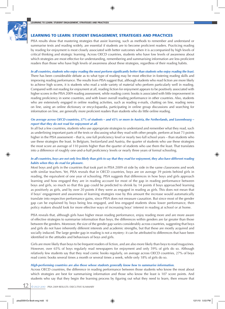

#### Learning to Learn: Student Engagement, Strategies and Practices

PISA results show that mastering strategies that assist learning, such as methods to remember and understand or summarise texts and reading widely, are essential if students are to become proficient readers. Practicing reading by reading for enjoyment is most closely associated with better outcomes when it is accompanied by high levels of critical thinking and strategic learning. Across OECD countries, students who have low levels of awareness about which strategies are most effective for understanding, remembering and summarising information are less proficient readers than those who have high levels of awareness about these strategies, regardless of their reading habits.

*In all countries, students who enjoy reading the most perform significantly better than students who enjoy reading the least.* There has been considerable debate as to what type of reading may be most effective in fostering reading skills and

improving reading performance. The results from PISA suggest that, although students who read fiction are more likely to achieve high scores, it is students who read a wide variety of material who perform particularly well in reading. Compared with not reading for enjoyment at all, reading fiction for enjoyment appears to be positively associated with higher scores in the PISA 2009 reading assessment, while reading comic books is associated with little improvement in reading proficiency in some countries, and with lower overall reading performance in other countries. Also, students who are extensively engaged in online reading activities, such as reading e-mails, chatting on line, reading news on line, using an online dictionary or encyclopaedia, participating in online group discussions and searching for information on line, are generally more proficient readers than students who do little online reading.

#### *On average across OECD countries, 37% of students – and 45% or more in Austria, the Netherlands, and Luxembourg – report that they do not read for enjoyment at all.*

In all but a few countries, students who use appropriate strategies to understand and remember what they read, such as underlining important parts of the texts or discussing what they read with other people, perform at least 73 points higher in the PISA assessment – that is, one full proficiency level or nearly two full school years – than students who use these strategies the least. In Belgium, Switzerland and Austria, the quarter of students who use these strategies the most score an average of 110 points higher than the quarter of students who use them the least. That translates into a difference of roughly one-and-a-half proficiency levels or nearly three years of formal schooling.

#### *In all countries, boys are not only less likely than girls to say that they read for enjoyment, they also have different reading habits when they do read for pleasure.*

Most boys and girls in the countries that took part in PISA 2009 sit side by side in the same classrooms and work with similar teachers. Yet, PISA reveals that in OECD countries, boys are on average 39 points behind girls in reading, the equivalent of one year of schooling. PISA suggests that differences in how boys and girls approach learning and how engaged they are in reading account for most of the gap in reading performance between boys and girls, so much so that this gap could be predicted to shrink by 14 points if boys approached learning as positively as girls, and by over 20 points if they were as engaged in reading as girls. This does not mean that if boys' engagement and awareness of learning strategies rose by this amount the increase would automatically translate into respective performance gains, since PISA does not measure causation. But since most of the gender gap can be explained by boys being less engaged, and less engaged students show lower performance, then policy makers should look for more effective ways of increasing boys' interest in reading at school or at home.

PISA reveals that, although girls have higher mean reading performance, enjoy reading more and are more aware of effective strategies to summarise information than boys, the differences within genders are far greater than those between the genders. Moreover, the size of the gender gap varies considerably across countries, suggesting that boys and girls do not have inherently different interests and academic strengths, but that these are mostly acquired and socially induced. The large gender gap in reading is not a mystery: it can be attributed to differences that have been identified in the attitudes and behaviours of boys and girls.

Girls are more likely than boys to be frequent readers of fiction, and are also more likely than boys to read magazines. However, over 65% of boys regularly read newspapers for enjoyment and only 59% of girls do so. Although relatively few students say that they read comic books regularly, on average across OECD countries, 27% of boys read comic books several times a month or several times a week, while only 18% of girls do so.

#### *High-performing countries are also those whose students generally know how to summarise information.*

Across OECD countries, the difference in reading performance between those students who know the most about which strategies are best for summarising information and those who know the least is 107 score points. And students who say that they begin the learning process by figuring out what they need to learn, then ensure that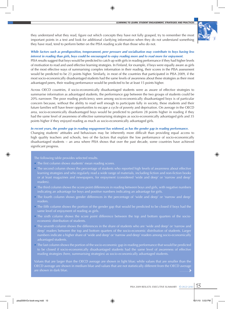

they understand what they read, figure out which concepts they have not fully grasped, try to remember the most important points in a text and look for additional clarifying information when they do not understand something they have read, tend to perform better on the PISA reading scale than those who do not.

#### *While factors such as predisposition, temperament, peer pressure and socialisation may contribute to boys having less interest in reading than girls, boys could be encouraged to enjoy reading more and to read more for enjoyment.*

PISA results suggest that boys would be predicted to catch up with girls in reading performance if they had higher levels of motivation to read and used effective learning strategies. In Finland, for example, if boys were equally aware as girls of the most effective ways of summarising complex information in their reading, their scores in the PISA assessment would be predicted to be 23 points higher. Similarly, in most of the countries that participated in PISA 2009, if the most socio-economically disadvantaged students had the same levels of awareness about these strategies as their most advantaged peers, their reading performance would be predicted to be at least 15 points higher.

Across OECD countries, if socio-economically disadvantaged students were as aware of effective strategies to summarise information as advantaged students, the performance gap between the two groups of students could be 20% narrower. The poor reading proficiency seen among socio-economically disadvantaged boys is of particular concern because, without the ability to read well enough to participate fully in society, these students and their future families will have fewer opportunities to escape a cycle of poverty and deprivation. On average in the OECD area, socio-economically disadvantaged boys would be predicted to perform 28 points higher in reading if they had the same level of awareness of effective summarising strategies as socio-economically advantaged girls and 35 points higher if they enjoyed reading as much as socio-economically advantaged girls.

#### *In recent years, the gender gap in reading engagement has widened, as has the gender gap in reading performance.*

Changing students' attitudes and behaviours may be inherently more difficult than providing equal access to high quality teachers and schools, two of the factors that explain the low performance of socio-economically disadvantaged students − an area where PISA shows that over the past decade, some countries have achieved significant progress.

The following table provides selected results.

- $\overline{\phantom{a}}$  The first column shows students' mean reading scores.
- The second column shows the percentage of students who reported high levels of awareness about effective learning strategies and who regularly read a wide range of materials, including fiction and non-fiction books or at least magazines and newspapers, for enjoyment (considered 'wide and deep' or 'narrow and deep'
- The third column shows the score point differences in reading between boys and girls, with negative numbers indicating an advantage for boys and positive numbers indicating an advantage for girls.
- The fourth column shows gender differences in the percentage of 'wide and deep' or 'narrow and deep' readers.
- The fifth column shows the portion of the gender gap that would be predicted to be closed if boys had the same level of enjoyment of reading as girls.
- The sixth column shows the score point difference between the top and bottom quarters of the socioeconomic distribution of students.
- The seventh column shows the differences in the share of students who are 'wide and deep' or 'narrow and deep' readers between the top and bottom quarters of the socio-economic distribution of students. Larger numbers indicate a higher share of 'wide and deep' or 'narrow and deep' readers among socio-economically advantaged students.
- The last column shows the portion of the socio-economic gap in reading performance that would be predicted to be closed if socio-economically disadvantaged students had the same level of awareness of effective reading strategies (here, summarising strategies) as socio-economically advantaged students.

Values that are larger than the OECD average are shown in light blue; while values that are smaller than the OECD average are shown in medium blue and values that are not statistically different from the OECD average are shown in dark blue.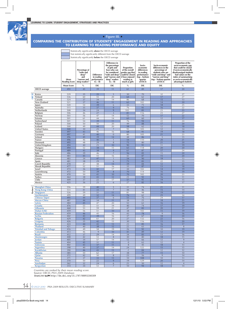#### • **Figure III.**•

#### Comparing the contribution of students' engagement in reading and approaches to learning to reading performance and equity



|                 |                                      |                              | sum, j                                                                     |                                                             |                                                                                                                                                      |                                                                                                                      |                                                                                                        |                                                                                                                                                            |                                                                                                                                                                                                                 |
|-----------------|--------------------------------------|------------------------------|----------------------------------------------------------------------------|-------------------------------------------------------------|------------------------------------------------------------------------------------------------------------------------------------------------------|----------------------------------------------------------------------------------------------------------------------|--------------------------------------------------------------------------------------------------------|------------------------------------------------------------------------------------------------------------------------------------------------------------|-----------------------------------------------------------------------------------------------------------------------------------------------------------------------------------------------------------------|
|                 |                                      | Mean<br><b>Reading Score</b> | Percentage of<br>"wide and<br>deep"<br>and<br>"narrow and<br>deep readers" | <b>Difference</b><br>in reading<br>performance<br>$(G - B)$ | Difference in<br>the percentage<br>of girls and<br>boys who can<br>be considered<br>'wide and deep"<br>and "narrow and<br>deep" readers<br>$(G - B)$ | Proportion<br>of the overall<br>gender gap that<br>could be closed<br>if boys enjoyed<br>reading as<br>much as girls | Socio-<br>economic<br>differences<br>in reading<br>performance<br>(top - bottom<br>quarter<br>of ESCS) | Socio-economic<br>differences in the<br>percentage of<br>students who are<br>"wide and deep" and<br>"narrow and deep"<br>(top - bottom quarter<br>of ESCS) | Proportion of the<br>socio-economic gap<br>that could be closed<br>if socio-economically<br>disadvanatged students<br>had values on the<br>index of summarising<br>as socio-economically<br>advantaged students |
|                 |                                      | <b>Mean Score</b>            | $\%$                                                                       | Dif.                                                        | Dif.                                                                                                                                                 | $\%$                                                                                                                 | Dif.                                                                                                   | Dif.                                                                                                                                                       | $\%$                                                                                                                                                                                                            |
|                 | <b>OECD</b> average                  | 493                          | 45                                                                         | 39                                                          | 11                                                                                                                                                   | 61                                                                                                                   | 89                                                                                                     | 17                                                                                                                                                         | 20                                                                                                                                                                                                              |
|                 |                                      |                              |                                                                            |                                                             |                                                                                                                                                      |                                                                                                                      |                                                                                                        |                                                                                                                                                            |                                                                                                                                                                                                                 |
|                 | Korea                                | 539                          | 35                                                                         | 35                                                          | 5                                                                                                                                                    | 30                                                                                                                   | 70                                                                                                     | 32                                                                                                                                                         | 27                                                                                                                                                                                                              |
| OECD            | Finland                              | 536                          | 60                                                                         | 55                                                          | 20                                                                                                                                                   | 64                                                                                                                   | 62                                                                                                     | 17                                                                                                                                                         | 27                                                                                                                                                                                                              |
|                 | Canada                               | 524                          | 37                                                                         | 34                                                          | 14                                                                                                                                                   | 86                                                                                                                   | 68                                                                                                     | 15                                                                                                                                                         | 13                                                                                                                                                                                                              |
|                 | New Zealand                          | 521                          | 37                                                                         | 46                                                          | 11                                                                                                                                                   | 63                                                                                                                   | 102                                                                                                    | 14                                                                                                                                                         | 20                                                                                                                                                                                                              |
|                 | Japan                                | 520                          | 54                                                                         | 39                                                          | $\boldsymbol{6}$                                                                                                                                     | 33                                                                                                                   | 73                                                                                                     | 18                                                                                                                                                         | 25                                                                                                                                                                                                              |
|                 | Australia                            | 515                          | 35                                                                         | 37                                                          | 9                                                                                                                                                    | 76                                                                                                                   | 91                                                                                                     | 16                                                                                                                                                         | 22                                                                                                                                                                                                              |
|                 | Netherlands                          | 508                          | 34                                                                         | 24                                                          | 9                                                                                                                                                    | 102                                                                                                                  | 83                                                                                                     | 23                                                                                                                                                         | 23                                                                                                                                                                                                              |
|                 | Belgium                              | 506                          | 46                                                                         | 27                                                          | $\overline{\mathbf{3}}$                                                                                                                              | 81                                                                                                                   | 116                                                                                                    | 23                                                                                                                                                         | 27                                                                                                                                                                                                              |
|                 | Norway                               | 503                          | 56                                                                         | 47                                                          | 14                                                                                                                                                   | 52                                                                                                                   | 70                                                                                                     | 17                                                                                                                                                         | 22                                                                                                                                                                                                              |
|                 | Estonia                              | 501                          | 61                                                                         | 44                                                          | 14                                                                                                                                                   | 65                                                                                                                   | 60                                                                                                     | 12                                                                                                                                                         | 17                                                                                                                                                                                                              |
|                 | Switzerland                          | 501                          | 54                                                                         | 39                                                          | 11                                                                                                                                                   | 76                                                                                                                   | 94                                                                                                     | 22                                                                                                                                                         | 24                                                                                                                                                                                                              |
|                 | Poland                               | 500                          | 50                                                                         | 50                                                          | 20                                                                                                                                                   | 49                                                                                                                   | 88                                                                                                     | 17                                                                                                                                                         | 20                                                                                                                                                                                                              |
|                 | Iceland                              | 500                          | 49                                                                         | 44                                                          | 20                                                                                                                                                   | 58                                                                                                                   | 62                                                                                                     | 12                                                                                                                                                         | 18                                                                                                                                                                                                              |
|                 | <b>United States</b>                 | 500                          | 30                                                                         | 25                                                          | $\overline{7}$                                                                                                                                       | 95                                                                                                                   | 105                                                                                                    | 12                                                                                                                                                         | 14                                                                                                                                                                                                              |
|                 | Sweden                               | 497<br>497                   | 43<br>41                                                                   | 46<br>40                                                    | 16<br>$\overline{0}$                                                                                                                                 | 68<br>80                                                                                                             | 91<br>105                                                                                              | 19<br>21                                                                                                                                                   | 18<br>23                                                                                                                                                                                                        |
|                 | Germany<br>Ireland                   | 496                          | 45                                                                         | 39                                                          | 14                                                                                                                                                   | 48                                                                                                                   | 86                                                                                                     | 5                                                                                                                                                          | 15                                                                                                                                                                                                              |
|                 | France                               | 496                          | 46                                                                         | 40                                                          | $\mathbf{1}$                                                                                                                                         | 54                                                                                                                   | 110                                                                                                    | 20                                                                                                                                                         | 21                                                                                                                                                                                                              |
|                 | Denmark                              | 495                          | 48                                                                         | 29                                                          | $\,$ 8 $\,$                                                                                                                                          | 75                                                                                                                   | 80                                                                                                     | 21                                                                                                                                                         | 20                                                                                                                                                                                                              |
|                 | <b>United Kingdom</b>                | 494                          | 40                                                                         | 25                                                          | 10                                                                                                                                                   | 90                                                                                                                   | 91                                                                                                     | 11                                                                                                                                                         | 19                                                                                                                                                                                                              |
|                 | Hungary                              | 494                          | 52                                                                         | 38                                                          | 15                                                                                                                                                   | 65                                                                                                                   | 118                                                                                                    | 20                                                                                                                                                         | 20                                                                                                                                                                                                              |
|                 | Portugal                             | 489                          | 43                                                                         | 38                                                          | 9                                                                                                                                                    | 61                                                                                                                   | 87                                                                                                     | 17                                                                                                                                                         | 24                                                                                                                                                                                                              |
|                 | Italy                                | 486                          | 39                                                                         | 46                                                          | $\overline{7}$                                                                                                                                       | 56                                                                                                                   | 85                                                                                                     | 15                                                                                                                                                         | 20                                                                                                                                                                                                              |
|                 | Slovenia                             | 483                          | 45                                                                         | 55                                                          | 16                                                                                                                                                   | 42                                                                                                                   | 87                                                                                                     | 15                                                                                                                                                         | 20                                                                                                                                                                                                              |
|                 | Greece                               | 483                          | 34                                                                         | 47                                                          |                                                                                                                                                      | 54                                                                                                                   | 90                                                                                                     | 18                                                                                                                                                         | 13                                                                                                                                                                                                              |
|                 | Spain                                | 481                          | 38                                                                         | 29                                                          | $\boldsymbol{6}$                                                                                                                                     | 73                                                                                                                   | 83                                                                                                     | 22                                                                                                                                                         | 15                                                                                                                                                                                                              |
|                 | <b>Czech Republic</b>                | 478                          | 47                                                                         | 48                                                          | 14                                                                                                                                                   | 59                                                                                                                   | 84                                                                                                     | 12                                                                                                                                                         | 23                                                                                                                                                                                                              |
|                 | <b>Slovak Republic</b>               | 477                          | 52                                                                         | 51                                                          | 16                                                                                                                                                   | 35                                                                                                                   | 87                                                                                                     | 13                                                                                                                                                         | 18                                                                                                                                                                                                              |
|                 | Israel                               | 474                          | 36                                                                         | 42                                                          | 17                                                                                                                                                   | 44                                                                                                                   | 102                                                                                                    | 14                                                                                                                                                         | 19                                                                                                                                                                                                              |
|                 | Luxembourg                           | 472                          | 50                                                                         | 39                                                          | $\boldsymbol{8}$                                                                                                                                     | 70                                                                                                                   | 114                                                                                                    | 16                                                                                                                                                         | 19                                                                                                                                                                                                              |
|                 | Austria                              | 470                          | 50                                                                         | 41                                                          | 10                                                                                                                                                   | 70                                                                                                                   | 102                                                                                                    | 20                                                                                                                                                         | 23                                                                                                                                                                                                              |
|                 | Turkey                               | 464                          | 38                                                                         | 43                                                          | 12                                                                                                                                                   | 25                                                                                                                   | 92                                                                                                     | 16                                                                                                                                                         | 11                                                                                                                                                                                                              |
|                 | Chile                                | 449                          | 37                                                                         | 22                                                          | 17                                                                                                                                                   | 57                                                                                                                   | 91                                                                                                     | 19                                                                                                                                                         | 15                                                                                                                                                                                                              |
|                 | Mexico                               | 425                          | 36                                                                         | 25                                                          | 6                                                                                                                                                    | 27                                                                                                                   | 82                                                                                                     | 16                                                                                                                                                         | 17                                                                                                                                                                                                              |
|                 |                                      |                              |                                                                            |                                                             |                                                                                                                                                      |                                                                                                                      |                                                                                                        |                                                                                                                                                            |                                                                                                                                                                                                                 |
| <b>Partners</b> | Shanghai-China                       | 556                          | 59                                                                         | 40                                                          | 5                                                                                                                                                    | 31                                                                                                                   | 74                                                                                                     | 21                                                                                                                                                         | 11                                                                                                                                                                                                              |
|                 | <b>Hong Kong-China</b>               | 533                          | 41                                                                         | 33                                                          | $\overline{7}$                                                                                                                                       | 44                                                                                                                   | 46                                                                                                     | 15                                                                                                                                                         | 14                                                                                                                                                                                                              |
|                 | <b>Singapore</b>                     | 526<br>499                   | 59<br>49                                                                   | 31<br>32                                                    | 11<br>14                                                                                                                                             | 81<br>76                                                                                                             | 98<br>62                                                                                               | 19<br>25                                                                                                                                                   | 17<br>34                                                                                                                                                                                                        |
|                 | Liechtenstein                        | 495                          | 44                                                                         | 37                                                          | $\boldsymbol{6}$                                                                                                                                     | 53                                                                                                                   | 76                                                                                                     | 24                                                                                                                                                         | 17                                                                                                                                                                                                              |
|                 | <b>Chinese Taipei</b><br>Macao-China | 487                          | 44                                                                         | 34                                                          | 11                                                                                                                                                   | 38                                                                                                                   | 25                                                                                                     | 18                                                                                                                                                         | 23                                                                                                                                                                                                              |
|                 | Latvia                               | 484                          | 45                                                                         | 47                                                          | 20                                                                                                                                                   | 52                                                                                                                   | 63                                                                                                     | 16                                                                                                                                                         | 19                                                                                                                                                                                                              |
|                 | Croatia                              | 476                          | 53                                                                         | 51                                                          | 19                                                                                                                                                   | 40                                                                                                                   | 74                                                                                                     | 17                                                                                                                                                         | 19                                                                                                                                                                                                              |
|                 | Lithuania                            | 468                          | 53                                                                         | 59                                                          | 21                                                                                                                                                   | 47                                                                                                                   | 83                                                                                                     | 20                                                                                                                                                         | 17                                                                                                                                                                                                              |
|                 | Dubai (UAE)                          | 459                          | 56                                                                         | 51                                                          | 10                                                                                                                                                   | 38                                                                                                                   | 102                                                                                                    | 15                                                                                                                                                         | 19                                                                                                                                                                                                              |
|                 | <b>Russian Federation</b>            | 459                          | 46                                                                         | 45                                                          | 16                                                                                                                                                   | 43                                                                                                                   | 78                                                                                                     | 9                                                                                                                                                          | 16                                                                                                                                                                                                              |
|                 | <b>Serbia</b>                        | 442                          | 43                                                                         | 39                                                          | 16                                                                                                                                                   | 37                                                                                                                   | 67                                                                                                     | 18                                                                                                                                                         | 24                                                                                                                                                                                                              |
|                 | <b>Bulgaria</b>                      | 429                          | 42                                                                         | 61                                                          | 20                                                                                                                                                   | 27                                                                                                                   | 132                                                                                                    | 22                                                                                                                                                         | 16                                                                                                                                                                                                              |
|                 | Uruguay                              | 426                          | 35                                                                         | 42                                                          | 15                                                                                                                                                   | 30                                                                                                                   | 116                                                                                                    | 15                                                                                                                                                         | 20                                                                                                                                                                                                              |
|                 | Romania                              | 424                          | 44                                                                         | 43                                                          | 13                                                                                                                                                   | 23                                                                                                                   | 85                                                                                                     | 16                                                                                                                                                         | 17                                                                                                                                                                                                              |
|                 | <b>Thailand</b>                      | 421                          | 40                                                                         | 38                                                          | 12                                                                                                                                                   | 22                                                                                                                   | 63                                                                                                     | 15                                                                                                                                                         | $\,$ 8 $\,$                                                                                                                                                                                                     |
|                 | <b>Trinidad and Tobago</b>           | 416                          | 49                                                                         | 58                                                          | 19                                                                                                                                                   | 26                                                                                                                   | 92                                                                                                     | 10                                                                                                                                                         | 19                                                                                                                                                                                                              |
|                 | Colombia                             | 413                          | 46                                                                         | 9                                                           | 10                                                                                                                                                   | 41                                                                                                                   | 89                                                                                                     | 12                                                                                                                                                         | 19                                                                                                                                                                                                              |
|                 | <b>Brazil</b>                        | 412                          | 37                                                                         | 29                                                          | 14                                                                                                                                                   | 34                                                                                                                   | 83                                                                                                     | 13                                                                                                                                                         | 16                                                                                                                                                                                                              |
|                 | Montenegro                           | 408                          | 42                                                                         | 53                                                          | $\,$ 8 $\,$                                                                                                                                          | 30                                                                                                                   | 80                                                                                                     | 18                                                                                                                                                         | 15                                                                                                                                                                                                              |
|                 | Jordan<br><b>Tunisia</b>             | 405                          | 34                                                                         | 57                                                          | 14                                                                                                                                                   | 12                                                                                                                   | 66                                                                                                     | 12                                                                                                                                                         | 9                                                                                                                                                                                                               |
|                 |                                      | 404                          | 45                                                                         | 31                                                          | $\overline{11}$                                                                                                                                      | $\mathbf{0}$                                                                                                         | 63                                                                                                     | 12                                                                                                                                                         | $\overline{4}$                                                                                                                                                                                                  |
|                 | Indonesia                            | 402                          | 43                                                                         | 37                                                          | 11<br>14                                                                                                                                             | $\,$ 8 $\,$                                                                                                          | 45<br>122                                                                                              | 18                                                                                                                                                         | 13                                                                                                                                                                                                              |
|                 | Argentina<br>Kazakhstan              | 398<br>390                   | 40<br>46                                                                   | 37<br>43                                                    | 13                                                                                                                                                   | 24<br>$-1$                                                                                                           | 84                                                                                                     | 15<br>12                                                                                                                                                   | 15<br>12                                                                                                                                                                                                        |
|                 | <b>Albania</b>                       | 385                          | 50                                                                         | 62                                                          | 17                                                                                                                                                   | 38                                                                                                                   | 77                                                                                                     | 15                                                                                                                                                         | 10                                                                                                                                                                                                              |
|                 | Qatar                                | 372                          | 42                                                                         | 50                                                          | $\,$ 8 $\,$                                                                                                                                          | 23                                                                                                                   | 56                                                                                                     | $\overline{9}$                                                                                                                                             | 14                                                                                                                                                                                                              |
|                 | Panama                               | 371                          | $\overline{37}$                                                            | 33                                                          | 13                                                                                                                                                   | 10                                                                                                                   | 108                                                                                                    | 10                                                                                                                                                         | 13                                                                                                                                                                                                              |
|                 | Peru                                 | 370                          | 50                                                                         | 22                                                          | $\overline{9}$                                                                                                                                       | 19                                                                                                                   | 129                                                                                                    | 20                                                                                                                                                         | 14                                                                                                                                                                                                              |
|                 | Azerbaijan                           | 362                          | 32                                                                         | 24                                                          | $\,6\,$                                                                                                                                              | 21                                                                                                                   | 50                                                                                                     | 12                                                                                                                                                         | $\overline{4}$                                                                                                                                                                                                  |
|                 | Kyrgyzstan                           | 314                          | 34                                                                         | 53                                                          | $\overline{7}$                                                                                                                                       | 10                                                                                                                   | 94                                                                                                     | 18                                                                                                                                                         | 14                                                                                                                                                                                                              |
|                 |                                      |                              |                                                                            |                                                             |                                                                                                                                                      |                                                                                                                      |                                                                                                        |                                                                                                                                                            |                                                                                                                                                                                                                 |

*Countries are ranked by their mean reading score.*  Source: O ECD, *PISA 2009 Database.*

12 http://dx.doi.org/10.1787/888932360309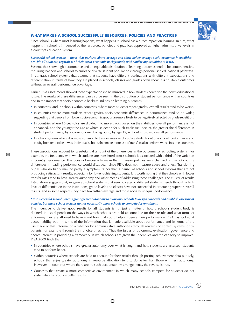#### What Makes a School Successful? Resources, Policies and Practices

Since school is where most learning happens, what happens in school has a direct impact on learning. In turn, what happens in school is influenced by the resources, policies and practices approved at higher administrative levels in a country's education system.

### *Successful school systems – those that perform above average and show below-average socio-economic inequalities – provide all students, regardless of their socio-economic backgrounds, with similar opportunities to learn.*

Systems that show high performance and an equitable distribution of learning outcomes tend to be comprehensive, requiring teachers and schools to embrace diverse student populations through personalised educational pathways. In contrast, school systems that assume that students have different destinations with different expectations and differentiation in terms of how they are placed in schools, classes and grades often show less equitable outcomes without an overall performance advantage.

Earlier PISA assessments showed these expectations to be mirrored in how students perceived their own educational future. The results of these differences can also be seen in the distribution of student performance within countries and in the impact that socio-economic background has on learning outcomes:

- • In countries, and in schools within countries, where more students repeat grades, overall results tend to be worse.
- • In countries where more students repeat grades, socio-economic differences in performance tend to be wider, suggesting that people from lower socio-economic groups are more likely to be negatively affected by grade repetition.
- • In countries where 15-year-olds are divided into more tracks based on their abilities, overall performance is not enhanced, and the younger the age at which selection for such tracks first occurs, the greater the differences in student performance, by socio-economic background, by age 15, without improved overall performance.
- • In school systems where it is more common to transfer weak or disruptive students out of a school, performance and equity both tend to be lower. Individual schools that make more use of transfers also perform worse in some countries.

These associations account for a substantial amount of the differences in the outcomes of schooling systems. For example, the frequency with which students are transferred across schools is associated with a third of the variation in country performance. This does not necessarily mean that if transfer policies were changed, a third of country differences in reading performance would disappear, since PISA does not measure cause and effect. Transferring pupils who do badly may be partly a symptom, rather than a cause, of schools and school systems that are not producing satisfactory results, especially for lower-achieving students. It is worth noting that the schools with lower transfer rates tend to have greater autonomy and other means of addressing these challenges. The cluster of results listed above suggests that, in general, school systems that seek to cater to different students' needs through a high level of differentiation in the institutions, grade levels and classes have not succeeded in producing superior overall results, and in some respects they have lower-than-average and more socially unequal performance.

#### *Most successful school systems grant greater autonomy to individual schools to design curricula and establish assessment policies, but these school systems do not necessarily allow schools to compete for enrolment.*

The incentive to deliver good results for all students is not just a matter of how a school's student body is defined. It also depends on the ways in which schools are held accountable for their results and what forms of autonomy they are allowed to have – and how that could help influence their performance. PISA has looked at accountability both in terms of the information that is made available about performance and in terms of the use made of that information – whether by administrative authorities through rewards or control systems, or by parents, for example through their choice of school. Thus the issues of autonomy, evaluation, governance and choice interact in providing a framework in which schools are given the incentives and the capacity to improve. PISA 2009 finds that:

- • In countries where schools have greater autonomy over what is taught and how students are assessed, students tend to perform better.
- • Within countries where schools are held to account for their results through posting achievement data publicly, schools that enjoy greater autonomy in resource allocation tend to do better than those with less autonomy. However, in countries where there are no such accountability arrangements, the reverse is true.
- • Countries that create a more competitive environment in which many schools compete for students do not systematically produce better results.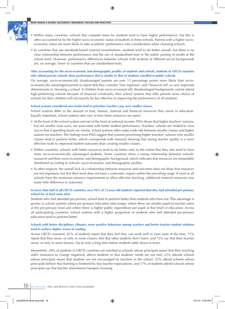- 
- Within many countries, schools that compete more for students tend to have higher performance, but this is often accounted for by the higher socio-economic status of students in these schools. Parents with a higher socioeconomic status are more likely to take academic performance into consideration when choosing schools.
- In countries that use standards-based external examinations, students tend to do better overall, but there is no clear relationship between performance and the use of standardised tests or the public posting of results at the school level. However, performance differences between schools with students of different social backgrounds are, on average, lower in countries that use standardised tests.

#### *After accounting for the socio-economic and demographic profiles of students and schools, students in OECD countries who attend private schools show performance that is similar to that of students enrolled in public schools.*

On average, socio-economically disadvantaged parents are over 13 percentage points more likely than socioeconomically advantaged parents to report that they consider "low expenses" and "financial aid" as very important determinants in choosing a school. If children from socio-economically disadvantaged backgrounds cannot attend high-performing schools because of financial constraints, then school systems that offer parents more choice of schools for their children will necessarily be less effective in improving the performance of all students.

#### *School systems considered successful tend to prioritise teachers' pay over smaller classes.*

School systems differ in the amount of time, human, material and financial resources they invest in education. Equally important, school systems also vary in how these resources are spent:

- At the level of the school system and net of the level of national income, PISA shows that higher teachers' salaries, but not smaller class sizes, are associated with better student performance. Teachers' salaries are related to class size in that if spending levels are similar, school systems often make trade-offs between smaller classes and higher salaries for teachers. The findings from PISA suggest that systems prioritising higher teachers' salaries over smaller classes tend to perform better, which corresponds with research showing that raising teacher quality is a more effective route to improved student outcomes than creating smaller classes.
- Within countries, schools with better resources tend to do better only to the extent that they also tend to have more socio-economically advantaged students. Some countries show a strong relationship between schools' resources and their socio-economic and demographic background, which indicates that resources are inequitably distributed according to schools' socio-economic and demographic profiles.
- • In other respects, the overall lack of a relationship between resources and outcomes does not show that resources are not important, but that their level does not have a systematic impact within the prevailing range. If most or all schools have the minimum resource requirements to allow effective teaching, additional material resources may make little difference to outcomes.

#### *In more than half of all OECD countries, over 94% of 15-year-old students reported that they had attended pre-primary school for at least some time.*

Students who had attended pre-primary school tend to perform better than students who have not. This advantage is greater in school systems where pre-primary education lasts longer, where there are smaller pupil-to-teacher ratios at the pre-primary level and where there is higher public expenditure per pupil at that level of education. Across all participating countries, school systems with a higher proportion of students who had attended pre-primary education tend to perform better.

#### *Schools with better disciplinary climates, more positive behaviour among teachers and better teacher-student relations tend to achieve higher scores in reading.*

Across OECD countries, 81% of students report that they feel they can work well in class most of the time, 71% report that they never, or only in some classes, feel that other students don't listen, and 72% say that their teacher never, or only in some lessons, has to wait a long time before students settle down to learn.

Meanwhile, 28% of students in OECD countries are enrolled in schools whose principals report that their teaching staff's resistance to change negatively affects students or that students' needs are not met; 23% attends schools whose principals report that students are not encouraged by teachers in the school; 22% attend schools whose principals believe that learning is hindered by low teacher expectations; and 17% of students attend schools whose principals say that teacher absenteeism hampers learning.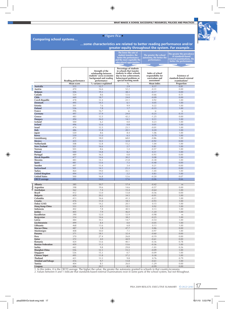#### • **Figure IV.a** •

**Comparing school systems…**

**…some characteristics are related to better reading performance and/or greater equity throughout the system.** *For example***…**

**The lower the rate of** 

|          |                            |                            |                                                                                                              | student transfers, the<br>better the performance<br>and the more equitable the<br>educational opportunities.                                                    | The greater the school<br>autonomy, the better the<br>performance.                 | The greater the prevalence<br>of standards-based<br>external examinations, the<br>better the performance. |
|----------|----------------------------|----------------------------|--------------------------------------------------------------------------------------------------------------|-----------------------------------------------------------------------------------------------------------------------------------------------------------------|------------------------------------------------------------------------------------|-----------------------------------------------------------------------------------------------------------|
|          |                            | <b>Reading performance</b> | Strength of the<br>relationship between<br>students' socio-economic<br>background and reading<br>performance | Percentage of students<br>in schools that transfer<br>students to other schools<br>due to low achievement.<br>behavioural problems or<br>special learning needs | Index of school<br>responsibility for<br>curriculum and<br>assessment <sup>1</sup> | <b>Existence of</b><br>standards-based external<br>examinations <sup>2</sup>                              |
|          |                            | Mean score                 | % variance explained                                                                                         | $\%$                                                                                                                                                            | Mean index                                                                         | Proportion                                                                                                |
| OECD     | <b>Australia</b>           | 515                        | 12.7                                                                                                         | 2.9                                                                                                                                                             | 0.17                                                                               | 0.81                                                                                                      |
|          | Austria                    | 470                        | 16.6                                                                                                         | 52.2                                                                                                                                                            | $-0.31$                                                                            | 0.00                                                                                                      |
|          | Belgium                    | 506                        | 19.3                                                                                                         | 48.3                                                                                                                                                            | $-0.17$                                                                            | 0.00                                                                                                      |
|          | Canada                     | 524                        | 8.6                                                                                                          | 12.6                                                                                                                                                            | $-0.66$                                                                            | 0.51                                                                                                      |
|          | <b>Chile</b>               | 449                        | 18.7                                                                                                         | 24.0                                                                                                                                                            | $-0.09$                                                                            | 0.00                                                                                                      |
|          | <b>Czech Republic</b>      | 478                        | 12.4                                                                                                         | 22.1                                                                                                                                                            | 0.92                                                                               | 1.00                                                                                                      |
|          | <b>Denmark</b>             | 495                        | 14.5                                                                                                         | 6.1                                                                                                                                                             | 0.05                                                                               | 1.00                                                                                                      |
|          | Estonia                    | 501                        | 7.6                                                                                                          | 9.9                                                                                                                                                             | 0.22                                                                               | 1.00                                                                                                      |
|          | <b>Finland</b>             | 536                        | 7.8                                                                                                          | 1.7                                                                                                                                                             | $-0.15$                                                                            | 1.00                                                                                                      |
|          | France                     | 496                        | 16.7                                                                                                         | W                                                                                                                                                               | ${\mathsf W}$                                                                      | W                                                                                                         |
|          | Germany                    | 497                        | 17.9                                                                                                         | 24.0<br>42.2                                                                                                                                                    | $-0.25$                                                                            | 0.35                                                                                                      |
|          | Greece                     | 483<br>494                 | 12.5<br>26.0                                                                                                 | 14.1                                                                                                                                                            | $-1.25$<br>0.11                                                                    | 0.00<br>1.00                                                                                              |
|          | Hungary<br>Iceland         | 500                        | 6.2                                                                                                          | 0.0                                                                                                                                                             | 0.23                                                                               | 1.00                                                                                                      |
|          | <b>Ireland</b>             | 496                        | 12.6                                                                                                         | 0.8                                                                                                                                                             | 0.01                                                                               | 1.00                                                                                                      |
|          | <b>Israel</b>              | 474                        | 12.5                                                                                                         | 23.1                                                                                                                                                            | $-0.01$                                                                            | 1.00                                                                                                      |
|          | <b>Italy</b>               | 486                        | 11.8                                                                                                         | 20.1                                                                                                                                                            | 0.20                                                                               | 1.00                                                                                                      |
|          | Japan                      | 520                        | 8.6                                                                                                          | 8.4                                                                                                                                                             | 1.06                                                                               | 1.00                                                                                                      |
|          | <b>Korea</b>               | 539                        | 11.0                                                                                                         | 6.3                                                                                                                                                             | 0.79                                                                               | 1.00                                                                                                      |
|          | Luxembourg                 | 472                        | 18.0                                                                                                         | 68.0                                                                                                                                                            | $-0.86$                                                                            | 1.00                                                                                                      |
|          | Mexico                     | 425                        | 14.5                                                                                                         | 32.8                                                                                                                                                            | $-0.92$                                                                            | 0.00                                                                                                      |
|          | <b>Netherlands</b>         | 508                        | 12.8                                                                                                         | 15.2                                                                                                                                                            | 1.04                                                                               | 1.00                                                                                                      |
|          | <b>New Zealand</b>         | 521                        | 16.6                                                                                                         | 2.7                                                                                                                                                             | 0.81                                                                               | 1.00                                                                                                      |
|          | Norway                     | 503                        | 8.6                                                                                                          | 1.4                                                                                                                                                             | $-0.57$                                                                            | 1.00                                                                                                      |
|          | Poland                     | 500                        | 14.8                                                                                                         | 8.2                                                                                                                                                             | 0.31                                                                               | 1.00                                                                                                      |
|          | Portugal                   | 489                        | 16.5                                                                                                         | 0.8                                                                                                                                                             | $-0.93$                                                                            | 0.00                                                                                                      |
|          | <b>Slovak Republic</b>     | 477                        | 14.6                                                                                                         | 30.2                                                                                                                                                            | 0.08                                                                               | 1.00                                                                                                      |
|          | Slovenia                   | 483                        | 14.3                                                                                                         | 21.8                                                                                                                                                            | $-0.38$                                                                            | 1.00                                                                                                      |
|          | <b>Spain</b>               | 481                        | 13.6                                                                                                         | 7.3                                                                                                                                                             | $-0.48$                                                                            | 0.00                                                                                                      |
|          | Sweden                     | 497                        | 13.4                                                                                                         | 3.4                                                                                                                                                             | 0.21                                                                               | 0.00                                                                                                      |
|          | Switzerland                | 501                        | 14.1                                                                                                         | 21.3                                                                                                                                                            | $-0.62$                                                                            | 0.00                                                                                                      |
|          | <b>Turkey</b>              | 464                        | 19.0                                                                                                         | 35.1                                                                                                                                                            | $-1.04$                                                                            | 1.00                                                                                                      |
|          | <b>United Kingdom</b>      | 494                        | 13.7                                                                                                         | 2.2                                                                                                                                                             | 0.83                                                                               | 1.00                                                                                                      |
|          | <b>United States</b>       | 500                        | 16.8                                                                                                         | 12.6                                                                                                                                                            | $-0.20$                                                                            | 0.07                                                                                                      |
|          | <b>OECD</b> average        | 493                        | 14.0                                                                                                         | 17.6                                                                                                                                                            | $-0.06$                                                                            | 0.66                                                                                                      |
|          |                            | 385                        | 10.7                                                                                                         |                                                                                                                                                                 |                                                                                    |                                                                                                           |
| Partners | Albania<br>Argentina       | 398                        | 19.6                                                                                                         | 17.4<br>14.6                                                                                                                                                    | $-0.42$<br>$-0.57$                                                                 | ${\rm m}$<br>0.00                                                                                         |
|          | Azerbaijan                 | 362                        | 7.4                                                                                                          | 15.4                                                                                                                                                            | $-0.64$                                                                            | 1.00                                                                                                      |
|          | <b>Brazil</b>              | 412                        | 13.0                                                                                                         | 13.8                                                                                                                                                            | $-0.56$                                                                            | 0.00                                                                                                      |
|          | <b>Bulgaria</b>            | 429                        | 20.2                                                                                                         | 34.5                                                                                                                                                            | $-0.91$                                                                            | 1.00                                                                                                      |
|          | Colombia                   | 413                        | 16.6                                                                                                         | 41.3                                                                                                                                                            | $-0.21$                                                                            | 1.00                                                                                                      |
|          | Croatia                    | 476                        | 11.0                                                                                                         | 18.3                                                                                                                                                            | $-0.93$                                                                            | 1.00                                                                                                      |
|          | Dubai (UAE)                | 459                        | 14.2                                                                                                         | 20.1                                                                                                                                                            | 0.15                                                                               | 1.00                                                                                                      |
|          | Hong Kong-China            | 533                        | 4.5                                                                                                          | 12.1                                                                                                                                                            | 0.92                                                                               | 1.00                                                                                                      |
|          | Indonesia                  | 402                        | 7.8                                                                                                          | 40.5                                                                                                                                                            | 0.13                                                                               | 1.00                                                                                                      |
|          | Jordan                     | 405                        | 7.9                                                                                                          | 46.0                                                                                                                                                            | $-1.20$                                                                            | 1.00                                                                                                      |
|          | Kazakhstan                 | 390                        | 12.0                                                                                                         | 12.9                                                                                                                                                            | $-0.98$                                                                            | m                                                                                                         |
|          | Kyrgyzstan                 | 314                        | 14.6                                                                                                         | 38.2                                                                                                                                                            | $-0.25$                                                                            | 1.00                                                                                                      |
|          | Latvia                     | 484                        | 10.3                                                                                                         | 14.7                                                                                                                                                            | $-0.54$                                                                            | 1.00                                                                                                      |
|          | Liechtenstein              | 499                        | 8.4                                                                                                          | $0.0\,$                                                                                                                                                         | $-0.05$                                                                            | 1.00                                                                                                      |
|          | Lithuania                  | 468                        | 13.6                                                                                                         | 6.8                                                                                                                                                             | 0.13                                                                               | 1.00                                                                                                      |
|          | Macao-China<br>Montenegro  | 487<br>408                 | 1.8<br>10.0                                                                                                  | 47.7<br>7.1                                                                                                                                                     | 0.86<br>$-0.97$                                                                    | 0.00<br>1.00                                                                                              |
|          | Panama                     | 371                        | 18.1                                                                                                         | 32.4                                                                                                                                                            | $-0.60$                                                                            | 0.00                                                                                                      |
|          | Peru                       | 370                        | 27.4                                                                                                         | 26.8                                                                                                                                                            | $-0.19$                                                                            | 0.00                                                                                                      |
|          | Qatar                      | 372                        | 4.0                                                                                                          | 44.9                                                                                                                                                            | $-0.61$                                                                            | 0.00                                                                                                      |
|          | Romania                    | 424                        | 13.6                                                                                                         | 40.1                                                                                                                                                            | $-0.36$                                                                            | 0.78                                                                                                      |
|          | <b>Russian Federation</b>  | 459                        | 11.3                                                                                                         | 13.6                                                                                                                                                            | $-0.36$                                                                            | 1.00                                                                                                      |
|          | Serbia                     | 442                        | 9.8                                                                                                          | 29.8                                                                                                                                                            | $-1.03$                                                                            | 0.26                                                                                                      |
|          | Shanghai-China             | 556                        | 12.3                                                                                                         | 15.3                                                                                                                                                            | $-0.09$                                                                            | 1.00                                                                                                      |
|          | Singapore                  | 526                        | 15.3                                                                                                         | 0.7                                                                                                                                                             | $-0.09$                                                                            | 1.00                                                                                                      |
|          | <b>Chinese Taipei</b>      | 495                        | 11.8                                                                                                         | 37.2                                                                                                                                                            | 0.38                                                                               | 1.00                                                                                                      |
|          | <b>Thailand</b>            | 421                        | 13.3                                                                                                         | 9.8                                                                                                                                                             | 0.76                                                                               | 0.79                                                                                                      |
|          | <b>Trinidad and Tobago</b> | 416                        | 9.7                                                                                                          | 13.8                                                                                                                                                            | $-0.61$                                                                            | 1.00                                                                                                      |
|          | Tunisia                    | 404                        | 8.1                                                                                                          | 26.0                                                                                                                                                            | $-1.29$                                                                            | 0.00                                                                                                      |
|          | Uruguay                    | 426                        | 20.7                                                                                                         | 8.5                                                                                                                                                             | $-0.99$                                                                            | 0.00                                                                                                      |

Uruguay 1. 10.99 10.00 10.00 10.00 10.00 10.00 10.00 10.00 10.00 10.00 10.00 10.00 10.00 10.00 10.00 10.00 10.00<br>1. In this index, 0 is the OECD average. The higher the value, the greater the autonomy granted to schools in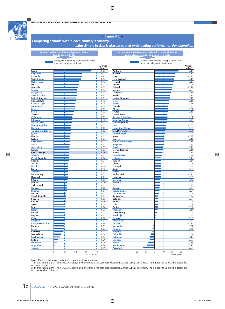#### • **Figure IV.b** •

# **Comparing schools within each country/economy…**

Change in the reading score per unit of the<br>index of disciplinary climate<sup>1</sup>

**…the climate in class is also associated with reading performance.** *For example***...**

| Students in schools with better displinary climates |  |
|-----------------------------------------------------|--|
| tend to perform better.                             |  |
|                                                     |  |

**In most countries/economies, students in schools with better teacher-student relations tend to perform better.**

Change in the reading score per unit of the index of teacher-student relations<sup>2</sup>

**Average**   $\frac{\text{index}^2}{0.11}$ 

|                                 |  | index <sup>1</sup> |                             |   | Average<br>index <sup>2</sup> |
|---------------------------------|--|--------------------|-----------------------------|---|-------------------------------|
| Japan                           |  | 0.75               | Australia                   |   | 0.11                          |
| <b>Singapore</b>                |  | 0.12               | Norway                      |   | $-0.17$<br>$-0.42$            |
| Romania<br><b>United States</b> |  | 0.43<br>0.16       | Japan<br><b>New Zealand</b> |   | 0.19                          |
| Dubai (UAE)                     |  | 0.13               | Iceland                     |   | 0.17                          |
| Italy                           |  | 0.03               | Ireland                     |   | $-0.08$                       |
| Australia                       |  | $-0.07$            | Finland                     |   | $-0.16$                       |
| <b>Croatia</b>                  |  | $-0.13$            | Estonia                     |   | $-0.04$                       |
| <b>Kyrgyzstan</b>               |  | 0.35               | Denmark                     |   | 0.18                          |
| Shanghai-China                  |  | 0.45               | Sweden                      |   | 0.15                          |
| <b>United Kingdom</b>           |  | 0.11               | <b>United Kingdom</b>       |   | 0.12                          |
| New Zealand                     |  | $-0.12$            | Qatar                       |   | 0.18                          |
| <b>Chinese Taipei</b>           |  | 0.09               | Jordan                      |   | 0.26                          |
| <b>Montenegro</b>               |  | 0.28               | Canada                      |   | 0.32                          |
| Peru                            |  | 0.19               | <b>Albania</b>              |   | 0.67                          |
| <b>Serbia</b>                   |  | $-0.02$            | France                      |   | $-0.15$                       |
| Slovenia                        |  | $-0.11$            | <b>United States</b>        |   | 0.32                          |
| Colombia                        |  | 0.19               | <b>Russian Federation</b>   |   | 0.07                          |
| <b>Lithuania</b>                |  | 0.30               | Shanghai-China              |   | 0.21                          |
| Macao-China                     |  | 0.11               | <b>Czech Republic</b>       |   | $-0.24$                       |
| <b>Hong Kong-China</b>          |  | 0.37               | Latvia                      |   | $-0.03$                       |
| <b>Bulgaria</b>                 |  | 0.02               | <b>Hong Kong-China</b>      |   | $-0.03$                       |
| <b>Trinidad and Tobago</b>      |  | $-0.02$            | <b>OECD</b> average         |   | 0.00                          |
| Qatar                           |  | $-0.02$            | <b>Chinese Taipei</b>       |   | 0.03                          |
| Hungary                         |  | $-0.02$            | Korea                       |   | $-0.27$                       |
| Iceland                         |  | $-0.05$            | Greece                      |   | $-0.18$                       |
| <b>Kazakhstan</b>               |  | 0.78               | <b>Trinidad and Tobago</b>  |   | 0.16                          |
| Austria                         |  | 0.11               | <b>Singapore</b>            |   | 0.24                          |
| Azerbaijan                      |  | 0.57               | <b>Brazil</b>               |   | 0.19                          |
| Ireland                         |  | $-0.03$            | <b>Slovak Republic</b>      |   | $-0.16$                       |
| <b>OECD</b> average             |  | 0.00               | Poland                      |   | $-0.35$                       |
| <b>Albania</b>                  |  | 0.53               | Dubai (UAE)                 |   | 0.36                          |
| <b>Czech Republic</b>           |  | $-0.18$            | Lithuania                   |   | 0.14                          |
| Norway                          |  | $-0.24$            | Mexico                      |   | 0.14                          |
| <b>Turkey</b>                   |  | 0.03               | Chile                       |   | 0.09                          |
| <b>Brazil</b>                   |  | $-0.18$            | Portugal                    |   | 0.37                          |
| Korea                           |  | 0.38               | Spain<br><b>Tunisia</b>     |   | $-0.03$<br>0.02               |
| <b>Thailand</b>                 |  | 0.33<br>$-0.21$    | Netherlands                 |   | $-0.11$                       |
| Luxembourg                      |  | 0.01               |                             |   | $-0.01$                       |
| Denmark<br>Estonia              |  | 0.05               | Hungary<br>Slovenia         |   | $-0.42$                       |
| France                          |  | $-0.20$            | Romania                     |   | 0.02                          |
| Switzerland                     |  | 0.09               | Peru                        |   | 0.29                          |
| Canada                          |  | $-0.08$            | <b>Turkey</b>               |   | 0.44                          |
| Panama                          |  | 0.04               | Macao-China                 |   | $-0.24$                       |
| Mexico                          |  | 0.11               | Liechtenstein               |   | 0.08                          |
| <b>Slovak Republic</b>          |  | $-0.02$            | Switzerland                 |   | 0.24                          |
| Sweden                          |  | $-0.03$            | Belgium                     |   | $-0.04$                       |
| Greece                          |  | $-0.40$            | <b>Israel</b>               |   | 0.05                          |
| Spain                           |  | 0.09               | Italy                       |   | $-0.06$                       |
| <b>Israel</b>                   |  | 0.08               | Austria                     |   | 0.00                          |
| Jordan                          |  | 0.23               | <b>Thailand</b>             |   | 0.10                          |
| Poland                          |  | 0.07               | Luxembourg                  |   | $-0.04$                       |
| Belgium                         |  | $-0.07$            | <b>Azerbaijan</b>           |   | 0.53                          |
| Chile                           |  | $-0.10$            | Germany                     |   | 0.01                          |
| <b>Uruguay</b>                  |  | $-0.01$            | <b>Kazakhstan</b>           |   | 0.41                          |
| <b>Russian Federation</b>       |  | 0.44               | <b>Croatia</b>              |   | $-0.17$                       |
| Portugal                        |  | 0.19               | Kyrgyzstan                  |   | 0.27                          |
| Latvia                          |  | 0.25               | Panama                      | п | 0.46                          |
| Germany                         |  | 0.25               | <b>Bulgaria</b>             | ۰ | $-0.01$                       |
| Netherlands                     |  | $-0.28$            | Colombia                    |   | 0.34                          |
| <b>Liechtenstein</b>            |  | 0.13               | <b>Indonesia</b>            |   | 0.13                          |
| Finland                         |  | $-0.29$            | <b>Uruguay</b>              |   | 0.03                          |
| <b>Indonesia</b>                |  | 0.26               | <b>Serbia</b>               |   | 0.16                          |
| <b>Argentina</b>                |  | $-0.26$            | <b>Montenegro</b>           |   | 0.13                          |
| <b>Tunisia</b>                  |  | $-0.19$            | <b>Argentina</b>            |   | 0.04                          |

Note: Darker bars show statistically significant associations. 1. In this index, zero is the OECD average and one unit is the standard deviation across OECD countries. The higher the value, the better the

school climate.<br>2. In this index, zero is the OECD average and one unit is the standard deviation across OECD countries. The higher the value, the better the<br>teacher-student relations.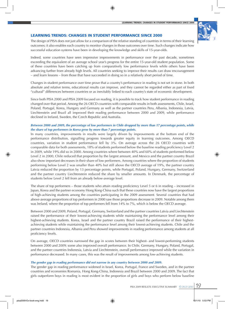# Learning Trends: Changes in Student Performance Since 2000

The design of PISA does not just allow for a comparison of the relative standing of countries in terms of their learning outcomes; it also enables each country to monitor changes in those outcomes over time. Such changes indicate how successful education systems have been in developing the knowledge and skills of 15-year-olds.

Indeed, some countries have seen impressive improvements in performance over the past decade, sometimes exceeding the equivalent of an average school year's progress for the entire 15-year-old student population. Some of these countries have been catching up from comparatively low performance levels while others have been advancing further from already high levels. All countries seeking to improve their results can draw encouragement – and learn lessons – from those that have succeeded in doing so in a relatively short period of time.

Changes in student performance over time prove that a country's performance in reading is not set in stone. In both absolute and relative terms, educational results can improve, and they cannot be regarded either as part of fixed "cultural" differences between countries or as inevitably linked to each country's state of economic development.

Since both PISA 2000 and PISA 2009 focused on reading, it is possible to track how student performance in reading changed over that period. Among the 26 OECD countries with comparable results in both assessments, Chile, Israel, Poland, Portugal, Korea, Hungary and Germany as well as the partner countries Peru, Albania, Indonesia, Latvia, Liechtenstein and Brazil all improved their reading performance between 2000 and 2009, while performance declined in Ireland, Sweden, the Czech Republic and Australia.

#### *Between 2000 and 2009, the percentage of low performers in Chile dropped by more than 17 percentage points, while the share of top performers in Korea grew by more than 7 percentage points.*

In many countries, improvements in results were largely driven by improvements at the bottom end of the performance distribution, signalling progress towards greater equity in learning outcomes. Among OECD countries, variation in student performance fell by 3%. On average across the 26 OECD countries with comparable data for both assessments, 18% of students performed below the baseline reading proficiency Level 2 in 2009, while 19% did so in 2000. Among countries where between 40% and 60% of students performed below Level 2 in 2000, Chile reduced that proportion by the largest amount, and Mexico and the partner country Brazil also show important decreases in their share of low performers. Among countries where the proportion of students performing below Level 2 was smaller than 40% but still above the OECD average of 19%, the partner country Latvia reduced the proportion by 13 percentage points, while Portugal, Poland, Hungary, Germany, Switzerland and the partner country Liechtenstein reduced the share by smaller amounts. In Denmark, the percentage of students below Level 2 fell from an already below-average level.

The share of top performers – those students who attain reading proficiency Level 5 or 6 in reading – increased in Japan, Korea and the partner economy Hong Kong-China such that these countries now have the largest proportions of high-achieving students among the countries participating in the 2009 assessment. Several countries that had above-average proportions of top performers in 2000 saw those proportions decrease in 2009. Notable among them was Ireland, where the proportion of top performers fell from 14% to 7%, which is below the OECD average.

Between 2000 and 2009, Poland, Portugal, Germany, Switzerland and the partner countries Latvia and Liechtenstein raised the performance of their lowest-achieving students while maintaining the performance level among their highest-achieving students. Korea, Israel and the partner country Brazil raised the performance of their highestachieving students while maintaining the performance level among their lowest-achieving students. Chile and the partner countries Indonesia, Albania and Peru showed improvements in reading performance among students at all proficiency levels.

On average, OECD countries narrowed the gap in scores between their highest- and lowest-performing students between 2000 and 2009; some also improved overall performance. In Chile, Germany, Hungary, Poland, Portugal, and the partner countries Indonesia, Latvia and Liechtenstein, overall performance improved while the variation in performance decreased. In many cases, this was the result of improvements among low-achieving students.

#### *The gender gap in reading performance did not narrow in any country between 2000 and 2009.*

The gender gap in reading performance widened in Israel, Korea, Portugal, France and Sweden, and in the partner countries and economies Romania, Hong Kong-China, Indonesia and Brazil between 2000 and 2009. The fact that girls outperform boys in reading is most evident in the proportion of girls and boys who perform below baseline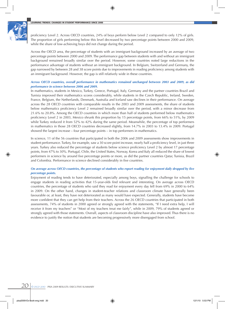

proficiency Level 2. Across OECD countries, 24% of boys perform below Level 2 compared to only 12% of girls. The proportion of girls performing below this level decreased by two percentage points between 2000 and 2009, while the share of low-achieving boys did not change during the period.

Across the OECD area, the percentage of students with an immigrant background increased by an average of two percentage points between 2000 and 2009. The performance gap between students with and without an immigrant background remained broadly similar over the period. However, some countries noted large reductions in the performance advantage of students without an immigrant background. In Belgium, Switzerland and Germany, the gap narrowed by between 28 and 38 score points due to improvements in reading proficiency among students with an immigrant background. However, the gap is still relatively wide in these countries.

#### *Across OECD countries, overall performance in mathematics remained unchanged between 2003 and 2009, as did performance in science between 2006 and 2009.*

In mathematics, students in Mexico, Turkey, Greece, Portugal, Italy, Germany and the partner countries Brazil and Tunisia improved their mathematics scores considerably, while students in the Czech Republic, Ireland, Sweden, France, Belgium, the Netherlands, Denmark, Australia and Iceland saw declines in their performance. On average across the 28 OECD countries with comparable results in the 2003 and 2009 assessments, the share of students below mathematics proficiency Level 2 remained broadly similar over the period, with a minor decrease from 21.6% to 20.8%. Among the OECD countries in which more than half of students performed below mathematics proficiency Level 2 in 2003, Mexico shrunk this proportion by 15 percentage points, from 66% to 51%, by 2009 while Turkey reduced it from 52% to 42% during the same period. Meanwhile, the percentage of top performers in mathematics in those 28 OECD countries decreased slightly, from 14.7% in 2003 to 13.4% in 2009. Portugal showed the largest increase – four percentage points – in top performers in mathematics.

In science, 11 of the 56 countries that participated in both the 2006 and 2009 assessments show improvements in student performance. Turkey, for example, saw a 30 score point increase, nearly half a proficiency level, in just three years. Turkey also reduced the percentage of students below science proficiency Level 2 by almost 17 percentage points, from 47% to 30%. Portugal, Chile, the United States, Norway, Korea and Italy all reduced the share of lowest performers in science by around five percentage points or more, as did the partner countries Qatar, Tunisia, Brazil and Colombia. Performance in science declined considerably in five countries.

#### *On average across OECD countries, the percentage of students who report reading for enjoyment daily dropped by five percentage points.*

Enjoyment of reading tends to have deteriorated, especially among boys, signalling the challenge for schools to engage students in reading activities that 15-year-olds find relevant and interesting. On average across OECD countries, the percentage of students who said they read for enjoyment every day fell from 69% in 2000 to 64% in 2009. On the other hand, changes in student-teacher relations and classroom climate have generally been favourable or, at least, they have not deteriorated as many would have expected. Generally, students have become more confident that they can get help from their teachers. Across the 26 OECD countries that participated in both assessments, 74% of students in 2000 agreed or strongly agreed with the statements, "If I need extra help, I will receive it from my teachers" or "Most of my teachers treat me fairly", while in 2009, 79% of students agreed or strongly agreed with those statements. Overall, aspects of classroom discipline have also improved. Thus there is no evidence to justify the notion that students are becoming progressively more disengaged from school.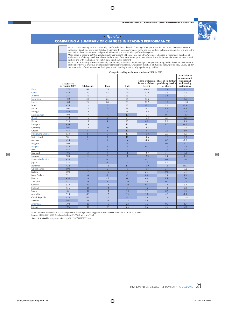

### • **Figure V.**• Comparing A summary of changes in reading performance

Mean score in reading 2009 is statistically significantly above the OECD average. Changes in reading and in the share of students at<br>proficiency Level 5 or above are statistically significantly positive. Changes in the sha

background with reading are not statistically significantly different.<br>Mean score in reading 2009 is statistically significantly below the OECD average. Changes in reading and in the share of students at<br>proficiency Level

|                           |                               | Change in reading performance between 2000 to 2009 |                |                 |                                                   |                                                         |                                                                               |  |
|---------------------------|-------------------------------|----------------------------------------------------|----------------|-----------------|---------------------------------------------------|---------------------------------------------------------|-------------------------------------------------------------------------------|--|
|                           | Mean score<br>in reading 2009 | <b>All students</b>                                | <b>Boys</b>    | Girls           | Share of students<br>below proficiency<br>Level 2 | Share of students at<br>proficiency Level 5<br>or above | Association of<br>socio-economic<br>background<br>with reading<br>performance |  |
| Peru                      | 370                           | 43                                                 | 35             | 50              | $-14.8$                                           | 0.4                                                     | 0.1                                                                           |  |
| Chile                     | 449                           | 40                                                 | 42             | 40              | $-17.6$                                           | 0.8                                                     | $-7.6$                                                                        |  |
| <b>Albania</b>            | 385                           | 36                                                 | 35             | 39              | $-13.7$                                           | 0.1                                                     | $-9.9$                                                                        |  |
| Indonesia                 | 402                           | 31                                                 | 23             | 39              | $-15.2$                                           |                                                         | $-6.9$                                                                        |  |
| Latvia                    | 484                           | 26                                                 | 28             | 23              | $-12.5$                                           | $-1.2$                                                  | $-11.0$                                                                       |  |
| Israel                    | 474                           | 22                                                 | 9              | 35              | $-6.7$                                            | 3.3                                                     | $-8.4$                                                                        |  |
| Poland                    | 500                           | 21                                                 | 14             | 28              | $-8.2$                                            | 1.3                                                     | $-1.5$                                                                        |  |
| Portugal                  | 489                           | 19                                                 | 12             | 26              | $-8.6$                                            | 0.6                                                     | $-4.7$                                                                        |  |
| Liechtenstein             | 499                           | 17                                                 | 16             | 17              | $-6.4$                                            | $-0.4$                                                  | $-13.3$                                                                       |  |
| <b>Brazil</b>             | 412                           | 16                                                 | 9              | 21              | $-6.2$                                            | 0.8                                                     | $-0.6$                                                                        |  |
| Korea                     | 539                           | 15                                                 | $\overline{4}$ | 25              | 0.0                                               | 7.2                                                     | 8.5                                                                           |  |
| Hungary                   | 494                           | 14                                                 | 11             | 17              | $-5.1$                                            | 1.0                                                     | $-4.2$                                                                        |  |
| Germany                   | 497                           | 13                                                 | 10             | 15              | $-4.2$                                            | $-1.2$                                                  | $-7.7$                                                                        |  |
| Greece                    | 483                           | 9                                                  | 3              | 13              | $-3.1$                                            | 0.6                                                     | 2.0                                                                           |  |
| Hong Kong-China           | 533                           | $\boldsymbol{8}$                                   | $\overline{0}$ | 17              | $-0.8$                                            | 2.9                                                     | $-8.6$                                                                        |  |
| Switzerland               | 501                           | 6                                                  | 1              | 10              | $-3.6$                                            | $-1.1$                                                  | $-2.3$                                                                        |  |
| Mexico                    | 425                           | 3                                                  | $\mathbf{1}$   | 6               | $-4.0$                                            | $-0.5$                                                  | $-7.3$                                                                        |  |
| Belgium                   | 506                           | $-1$                                               | $\overline{0}$ | $-5$            | $-1.2$                                            | $-0.8$                                                  | 0.7                                                                           |  |
| <b>Bulgaria</b>           | 429                           | $-1$                                               | $-8$           | $6\phantom{.}6$ | 0.7                                               | 0.6                                                     | $-4.5$                                                                        |  |
| Italy                     | 486                           | $-1$                                               | $-5$           | $\overline{2}$  | 2.1                                               | 0.5                                                     | 3.2                                                                           |  |
| Denmark                   | 495                           | $-2$                                               | $-5$           | $-1$            | $-2.7$                                            | $-3.4$                                                  | $-3.2$                                                                        |  |
| Norway                    | 503                           | $-2$                                               | $-5$           | $-1$            | $-2.5$                                            | $-2.8$                                                  | 0.4                                                                           |  |
| <b>Russian Federation</b> | 459                           | $-2$                                               | $-6$           | $\mathbf{1}$    | $-0.1$                                            | $-0.0$                                                  | 1.4                                                                           |  |
| Japan                     | 520                           | $-2$                                               | $-6$           | $\overline{3}$  | 3.5                                               | 3.6                                                     | $\overline{c}$                                                                |  |
| Romania                   | 424                           | $-3$                                               | $-18$          | 11              | $-0.9$                                            | $-1.5$                                                  | 10.7                                                                          |  |
| <b>United States</b>      | 500                           | $-5$                                               | $-2$           | $-6$            | $-0.3$                                            | $-2.4$                                                  | $-9.2$                                                                        |  |
| Iceland                   | 500                           | $-7$                                               | $-10$          | $-6$            | 2.3                                               | $-0.5$                                                  | 5.4                                                                           |  |
| New Zealand               | 521                           | $-8$                                               | $-8$           | $-8$            | 0.6                                               | $-3.0$                                                  | 4.9                                                                           |  |
| France                    | 496                           | $-9$                                               | $-15$          | $-4$            | 4.6                                               | 1.1                                                     | 7.0                                                                           |  |
| Thailand                  | 421                           | $-9$                                               | $-6$           | $-10$           | 5.8                                               | $-0.2$                                                  | $-0.7$                                                                        |  |
| Canada                    | 524                           | $-10$                                              | $-12$          | $-10$           | 0.7                                               | $-4.0$                                                  | $-6.4$                                                                        |  |
| Finland                   | 536                           | $-11$                                              | $-12$          | $-8$            | 1.2                                               | $-4.0$                                                  | 5.8                                                                           |  |
| Spain                     | 481                           | $-12$                                              | $-14$          | $-10$           | 3.3                                               | $-0.9$                                                  | 1.5                                                                           |  |
| Australia                 | 515                           | $-13$                                              | $-17$          | $-13$           | 1.8                                               | $-4.9$                                                  | $-1.4$                                                                        |  |
| Czech Republic            | 478                           | $-13$                                              | $-17$          | $-6$            | 5.6                                               | $-1.9$                                                  | $-11.4$                                                                       |  |
| Sweden                    | 497                           | $-19$                                              | $-24$          | $-15$           | 4.9                                               | $-2.2$                                                  | 7.7                                                                           |  |
| Argentina                 | 398                           | $-20$                                              | $-15$          | $-22$           | 7.7                                               | $-0.7$                                                  | $-1.7$                                                                        |  |
| Ireland                   | 496                           | $-31$                                              | $-37$          | $-26$           | 6.2                                               | $-7.3$                                                  | 5.8                                                                           |  |

Note: Countries are ranked in descending order of the change in reading performance between 2000 and 2009 for all students.<br>Source: OECD*, PISA 2009 Databas*e, Tables V.2.1, V.2.2, V.2.4 and V.4.3

Source: OECD, *PISA 2009 Databas*e, Tables V.2.1, V.2.2, V.2.4 and V<br>StatLink 編引 http://dx.doi.org/10.1787/888932359948